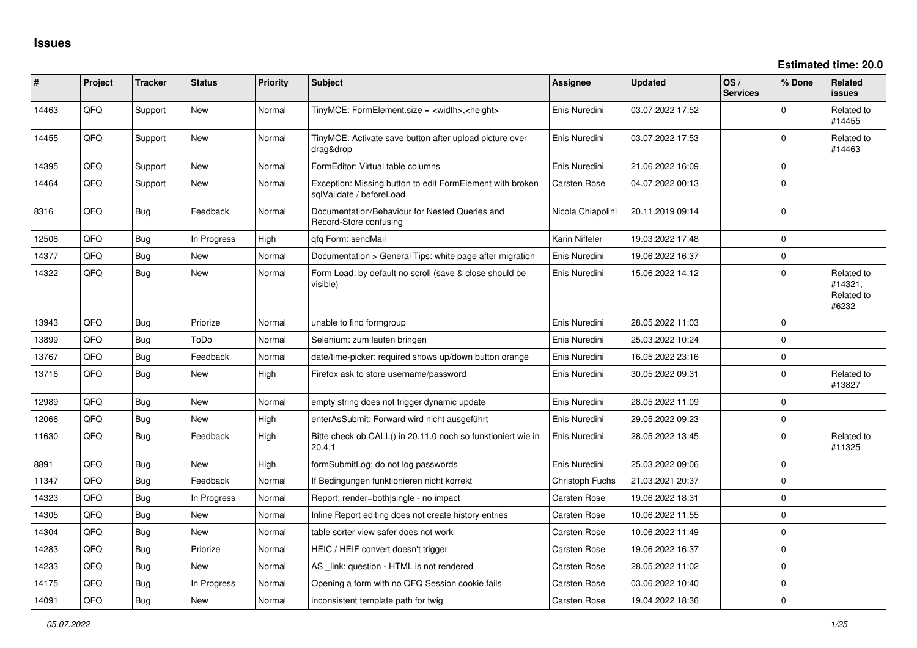| ∦     | Project | <b>Tracker</b> | <b>Status</b> | <b>Priority</b> | <b>Subject</b>                                                                        | Assignee            | <b>Updated</b>   | OS/<br><b>Services</b> | % Done      | Related<br>issues                            |
|-------|---------|----------------|---------------|-----------------|---------------------------------------------------------------------------------------|---------------------|------------------|------------------------|-------------|----------------------------------------------|
| 14463 | QFQ     | Support        | New           | Normal          | TinyMCE: FormElement.size = <width>,<height></height></width>                         | Enis Nuredini       | 03.07.2022 17:52 |                        | $\Omega$    | Related to<br>#14455                         |
| 14455 | QFQ     | Support        | <b>New</b>    | Normal          | TinyMCE: Activate save button after upload picture over<br>drag&drop                  | Enis Nuredini       | 03.07.2022 17:53 |                        | $\Omega$    | Related to<br>#14463                         |
| 14395 | QFQ     | Support        | <b>New</b>    | Normal          | FormEditor: Virtual table columns                                                     | Enis Nuredini       | 21.06.2022 16:09 |                        | 0           |                                              |
| 14464 | QFQ     | Support        | New           | Normal          | Exception: Missing button to edit FormElement with broken<br>sqlValidate / beforeLoad | <b>Carsten Rose</b> | 04.07.2022 00:13 |                        | $\Omega$    |                                              |
| 8316  | QFQ     | Bug            | Feedback      | Normal          | Documentation/Behaviour for Nested Queries and<br>Record-Store confusing              | Nicola Chiapolini   | 20.11.2019 09:14 |                        | $\Omega$    |                                              |
| 12508 | QFQ     | Bug            | In Progress   | High            | qfq Form: sendMail                                                                    | Karin Niffeler      | 19.03.2022 17:48 |                        | $\mathbf 0$ |                                              |
| 14377 | QFQ     | Bug            | <b>New</b>    | Normal          | Documentation > General Tips: white page after migration                              | Enis Nuredini       | 19.06.2022 16:37 |                        | $\mathbf 0$ |                                              |
| 14322 | QFQ     | <b>Bug</b>     | <b>New</b>    | Normal          | Form Load: by default no scroll (save & close should be<br>visible)                   | Enis Nuredini       | 15.06.2022 14:12 |                        | $\mathbf 0$ | Related to<br>#14321.<br>Related to<br>#6232 |
| 13943 | QFQ     | Bug            | Priorize      | Normal          | unable to find formgroup                                                              | Enis Nuredini       | 28.05.2022 11:03 |                        | $\Omega$    |                                              |
| 13899 | QFQ     | Bug            | ToDo          | Normal          | Selenium: zum laufen bringen                                                          | Enis Nuredini       | 25.03.2022 10:24 |                        | $\mathbf 0$ |                                              |
| 13767 | QFQ     | Bug            | Feedback      | Normal          | date/time-picker: required shows up/down button orange                                | Enis Nuredini       | 16.05.2022 23:16 |                        | $\mathbf 0$ |                                              |
| 13716 | QFQ     | Bug            | New           | High            | Firefox ask to store username/password                                                | Enis Nuredini       | 30.05.2022 09:31 |                        | $\mathbf 0$ | Related to<br>#13827                         |
| 12989 | QFQ     | Bug            | <b>New</b>    | Normal          | empty string does not trigger dynamic update                                          | Enis Nuredini       | 28.05.2022 11:09 |                        | $\mathbf 0$ |                                              |
| 12066 | QFQ     | Bug            | <b>New</b>    | High            | enterAsSubmit: Forward wird nicht ausgeführt                                          | Enis Nuredini       | 29.05.2022 09:23 |                        | 0           |                                              |
| 11630 | QFQ     | <b>Bug</b>     | Feedback      | High            | Bitte check ob CALL() in 20.11.0 noch so funktioniert wie in<br>20.4.1                | Enis Nuredini       | 28.05.2022 13:45 |                        | $\Omega$    | Related to<br>#11325                         |
| 8891  | QFQ     | <b>Bug</b>     | <b>New</b>    | High            | formSubmitLog: do not log passwords                                                   | Enis Nuredini       | 25.03.2022 09:06 |                        | $\Omega$    |                                              |
| 11347 | QFQ     | Bug            | Feedback      | Normal          | If Bedingungen funktionieren nicht korrekt                                            | Christoph Fuchs     | 21.03.2021 20:37 |                        | $\mathbf 0$ |                                              |
| 14323 | QFQ     | Bug            | In Progress   | Normal          | Report: render=both single - no impact                                                | Carsten Rose        | 19.06.2022 18:31 |                        | $\Omega$    |                                              |
| 14305 | QFQ     | Bug            | <b>New</b>    | Normal          | Inline Report editing does not create history entries                                 | <b>Carsten Rose</b> | 10.06.2022 11:55 |                        | $\mathbf 0$ |                                              |
| 14304 | QFQ     | Bug            | <b>New</b>    | Normal          | table sorter view safer does not work                                                 | Carsten Rose        | 10.06.2022 11:49 |                        | $\mathbf 0$ |                                              |
| 14283 | QFQ     | <b>Bug</b>     | Priorize      | Normal          | HEIC / HEIF convert doesn't trigger                                                   | <b>Carsten Rose</b> | 19.06.2022 16:37 |                        | 0           |                                              |
| 14233 | QFQ     | Bug            | <b>New</b>    | Normal          | AS _link: question - HTML is not rendered                                             | Carsten Rose        | 28.05.2022 11:02 |                        | $\mathbf 0$ |                                              |
| 14175 | QFQ     | Bug            | In Progress   | Normal          | Opening a form with no QFQ Session cookie fails                                       | <b>Carsten Rose</b> | 03.06.2022 10:40 |                        | $\mathbf 0$ |                                              |
| 14091 | QFQ     | <b>Bug</b>     | <b>New</b>    | Normal          | inconsistent template path for twig                                                   | <b>Carsten Rose</b> | 19.04.2022 18:36 |                        | $\mathbf 0$ |                                              |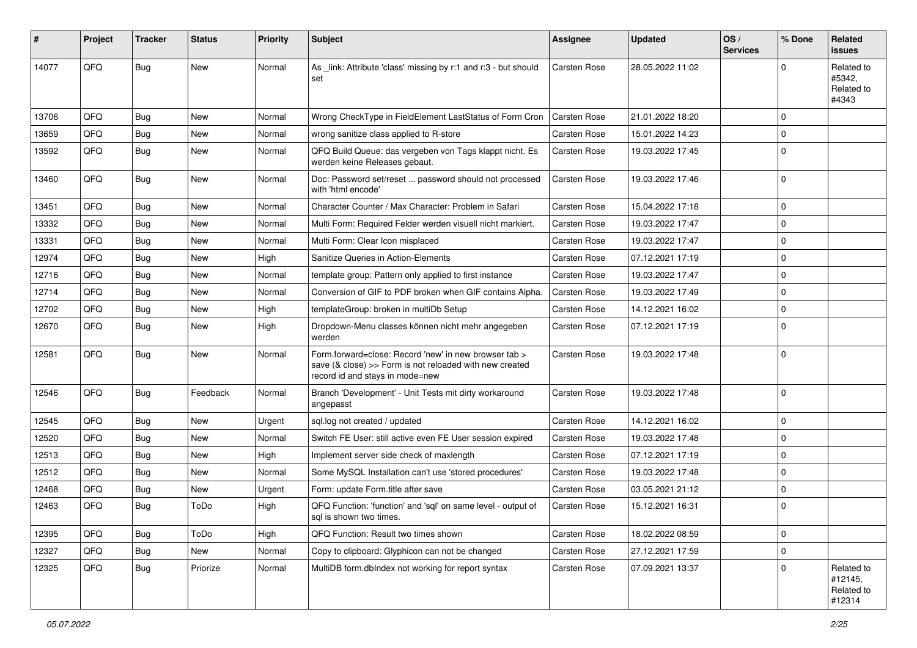| #     | Project | <b>Tracker</b> | <b>Status</b> | <b>Priority</b> | Subject                                                                                                                                             | Assignee     | <b>Updated</b>   | OS/<br><b>Services</b> | % Done      | Related<br><b>issues</b>                      |
|-------|---------|----------------|---------------|-----------------|-----------------------------------------------------------------------------------------------------------------------------------------------------|--------------|------------------|------------------------|-------------|-----------------------------------------------|
| 14077 | QFQ     | Bug            | <b>New</b>    | Normal          | As _link: Attribute 'class' missing by r:1 and r:3 - but should<br>set                                                                              | Carsten Rose | 28.05.2022 11:02 |                        | 0           | Related to<br>#5342,<br>Related to<br>#4343   |
| 13706 | QFQ     | Bug            | <b>New</b>    | Normal          | Wrong CheckType in FieldElement LastStatus of Form Cron                                                                                             | Carsten Rose | 21.01.2022 18:20 |                        | 0           |                                               |
| 13659 | QFQ     | <b>Bug</b>     | <b>New</b>    | Normal          | wrong sanitize class applied to R-store                                                                                                             | Carsten Rose | 15.01.2022 14:23 |                        | $\Omega$    |                                               |
| 13592 | QFQ     | Bug            | <b>New</b>    | Normal          | QFQ Build Queue: das vergeben von Tags klappt nicht. Es<br>werden keine Releases gebaut.                                                            | Carsten Rose | 19.03.2022 17:45 |                        | $\Omega$    |                                               |
| 13460 | QFQ     | <b>Bug</b>     | <b>New</b>    | Normal          | Doc: Password set/reset  password should not processed<br>with 'html encode'                                                                        | Carsten Rose | 19.03.2022 17:46 |                        | $\Omega$    |                                               |
| 13451 | QFQ     | <b>Bug</b>     | <b>New</b>    | Normal          | Character Counter / Max Character: Problem in Safari                                                                                                | Carsten Rose | 15.04.2022 17:18 |                        | 0           |                                               |
| 13332 | QFQ     | <b>Bug</b>     | <b>New</b>    | Normal          | Multi Form: Required Felder werden visuell nicht markiert.                                                                                          | Carsten Rose | 19.03.2022 17:47 |                        | $\Omega$    |                                               |
| 13331 | QFQ     | Bug            | <b>New</b>    | Normal          | Multi Form: Clear Icon misplaced                                                                                                                    | Carsten Rose | 19.03.2022 17:47 |                        | 0           |                                               |
| 12974 | QFQ     | <b>Bug</b>     | <b>New</b>    | High            | Sanitize Queries in Action-Elements                                                                                                                 | Carsten Rose | 07.12.2021 17:19 |                        | $\Omega$    |                                               |
| 12716 | QFQ     | <b>Bug</b>     | <b>New</b>    | Normal          | template group: Pattern only applied to first instance                                                                                              | Carsten Rose | 19.03.2022 17:47 |                        | $\Omega$    |                                               |
| 12714 | QFQ     | <b>Bug</b>     | <b>New</b>    | Normal          | Conversion of GIF to PDF broken when GIF contains Alpha.                                                                                            | Carsten Rose | 19.03.2022 17:49 |                        | 0           |                                               |
| 12702 | QFQ     | <b>Bug</b>     | <b>New</b>    | High            | templateGroup: broken in multiDb Setup                                                                                                              | Carsten Rose | 14.12.2021 16:02 |                        | $\Omega$    |                                               |
| 12670 | QFQ     | Bug            | <b>New</b>    | High            | Dropdown-Menu classes können nicht mehr angegeben<br>werden                                                                                         | Carsten Rose | 07.12.2021 17:19 |                        | $\Omega$    |                                               |
| 12581 | QFQ     | Bug            | <b>New</b>    | Normal          | Form.forward=close: Record 'new' in new browser tab ><br>save (& close) >> Form is not reloaded with new created<br>record id and stays in mode=new | Carsten Rose | 19.03.2022 17:48 |                        | 0           |                                               |
| 12546 | QFQ     | Bug            | Feedback      | Normal          | Branch 'Development' - Unit Tests mit dirty workaround<br>angepasst                                                                                 | Carsten Rose | 19.03.2022 17:48 |                        | $\Omega$    |                                               |
| 12545 | QFQ     | Bug            | <b>New</b>    | Urgent          | sql.log not created / updated                                                                                                                       | Carsten Rose | 14.12.2021 16:02 |                        | $\Omega$    |                                               |
| 12520 | QFQ     | Bug            | <b>New</b>    | Normal          | Switch FE User: still active even FE User session expired                                                                                           | Carsten Rose | 19.03.2022 17:48 |                        | $\Omega$    |                                               |
| 12513 | QFQ     | <b>Bug</b>     | <b>New</b>    | High            | Implement server side check of maxlength                                                                                                            | Carsten Rose | 07.12.2021 17:19 |                        | 0           |                                               |
| 12512 | QFQ     | Bug            | <b>New</b>    | Normal          | Some MySQL Installation can't use 'stored procedures'                                                                                               | Carsten Rose | 19.03.2022 17:48 |                        | 0           |                                               |
| 12468 | QFQ     | <b>Bug</b>     | New           | Urgent          | Form: update Form.title after save                                                                                                                  | Carsten Rose | 03.05.2021 21:12 |                        | $\Omega$    |                                               |
| 12463 | QFQ     | <b>Bug</b>     | ToDo          | High            | QFQ Function: 'function' and 'sql' on same level - output of<br>sql is shown two times.                                                             | Carsten Rose | 15.12.2021 16:31 |                        | $\Omega$    |                                               |
| 12395 | QFQ     | <b>Bug</b>     | ToDo          | High            | QFQ Function: Result two times shown                                                                                                                | Carsten Rose | 18.02.2022 08:59 |                        | 0           |                                               |
| 12327 | QFQ     | <b>Bug</b>     | New           | Normal          | Copy to clipboard: Glyphicon can not be changed                                                                                                     | Carsten Rose | 27.12.2021 17:59 |                        | $\mathbf 0$ |                                               |
| 12325 | QFQ     | <b>Bug</b>     | Priorize      | Normal          | MultiDB form.dblndex not working for report syntax                                                                                                  | Carsten Rose | 07.09.2021 13:37 |                        | 0           | Related to<br>#12145,<br>Related to<br>#12314 |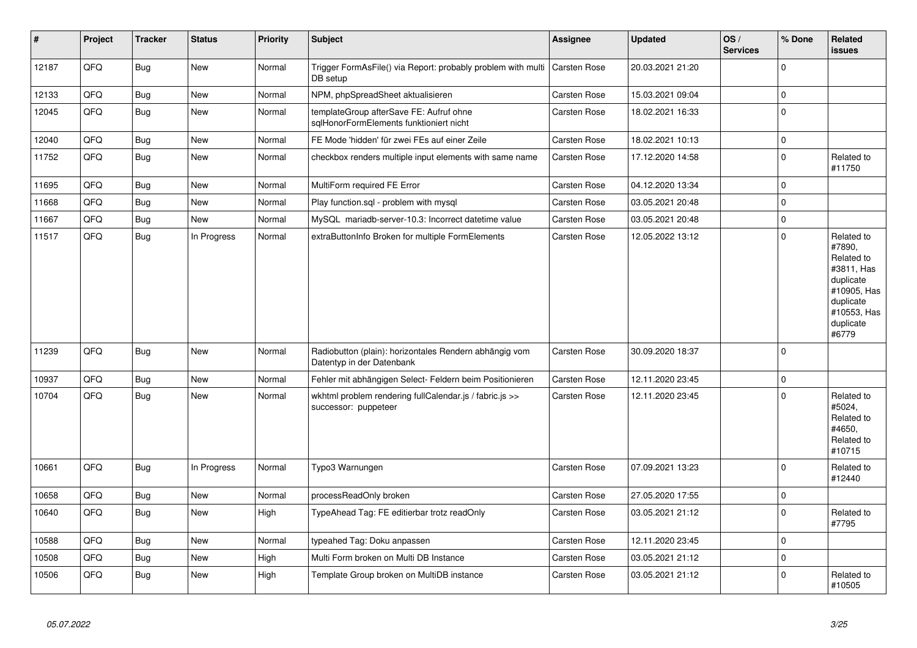| #     | Project | <b>Tracker</b> | <b>Status</b> | <b>Priority</b> | <b>Subject</b>                                                                          | <b>Assignee</b> | <b>Updated</b>   | OS/<br><b>Services</b> | % Done      | Related<br><b>issues</b>                                                                                                       |
|-------|---------|----------------|---------------|-----------------|-----------------------------------------------------------------------------------------|-----------------|------------------|------------------------|-------------|--------------------------------------------------------------------------------------------------------------------------------|
| 12187 | QFQ     | <b>Bug</b>     | New           | Normal          | Trigger FormAsFile() via Report: probably problem with multi   Carsten Rose<br>DB setup |                 | 20.03.2021 21:20 |                        | $\mathbf 0$ |                                                                                                                                |
| 12133 | QFQ     | Bug            | <b>New</b>    | Normal          | NPM, phpSpreadSheet aktualisieren                                                       | Carsten Rose    | 15.03.2021 09:04 |                        | $\mathbf 0$ |                                                                                                                                |
| 12045 | QFQ     | <b>Bug</b>     | New           | Normal          | templateGroup afterSave FE: Aufruf ohne<br>sqlHonorFormElements funktioniert nicht      | Carsten Rose    | 18.02.2021 16:33 |                        | $\pmb{0}$   |                                                                                                                                |
| 12040 | QFQ     | <b>Bug</b>     | <b>New</b>    | Normal          | FE Mode 'hidden' für zwei FEs auf einer Zeile                                           | Carsten Rose    | 18.02.2021 10:13 |                        | $\mathbf 0$ |                                                                                                                                |
| 11752 | QFQ     | <b>Bug</b>     | New           | Normal          | checkbox renders multiple input elements with same name                                 | Carsten Rose    | 17.12.2020 14:58 |                        | $\pmb{0}$   | Related to<br>#11750                                                                                                           |
| 11695 | QFQ     | <b>Bug</b>     | New           | Normal          | MultiForm required FE Error                                                             | Carsten Rose    | 04.12.2020 13:34 |                        | $\mathbf 0$ |                                                                                                                                |
| 11668 | QFQ     | <b>Bug</b>     | New           | Normal          | Play function.sql - problem with mysql                                                  | Carsten Rose    | 03.05.2021 20:48 |                        | $\pmb{0}$   |                                                                                                                                |
| 11667 | QFQ     | <b>Bug</b>     | New           | Normal          | MySQL mariadb-server-10.3: Incorrect datetime value                                     | Carsten Rose    | 03.05.2021 20:48 |                        | $\mathbf 0$ |                                                                                                                                |
| 11517 | QFQ     | <b>Bug</b>     | In Progress   | Normal          | extraButtonInfo Broken for multiple FormElements                                        | Carsten Rose    | 12.05.2022 13:12 |                        | $\pmb{0}$   | Related to<br>#7890,<br>Related to<br>#3811, Has<br>duplicate<br>#10905, Has<br>duplicate<br>#10553, Has<br>duplicate<br>#6779 |
| 11239 | QFQ     | <b>Bug</b>     | <b>New</b>    | Normal          | Radiobutton (plain): horizontales Rendern abhängig vom<br>Datentyp in der Datenbank     | Carsten Rose    | 30.09.2020 18:37 |                        | $\mathbf 0$ |                                                                                                                                |
| 10937 | QFQ     | <b>Bug</b>     | New           | Normal          | Fehler mit abhängigen Select- Feldern beim Positionieren                                | Carsten Rose    | 12.11.2020 23:45 |                        | $\pmb{0}$   |                                                                                                                                |
| 10704 | QFQ     | <b>Bug</b>     | <b>New</b>    | Normal          | wkhtml problem rendering fullCalendar.js / fabric.js >><br>successor: puppeteer         | Carsten Rose    | 12.11.2020 23:45 |                        | $\Omega$    | Related to<br>#5024,<br>Related to<br>#4650,<br>Related to<br>#10715                                                           |
| 10661 | QFQ     | Bug            | In Progress   | Normal          | Typo3 Warnungen                                                                         | Carsten Rose    | 07.09.2021 13:23 |                        | $\mathbf 0$ | Related to<br>#12440                                                                                                           |
| 10658 | QFQ     | <b>Bug</b>     | <b>New</b>    | Normal          | processReadOnly broken                                                                  | Carsten Rose    | 27.05.2020 17:55 |                        | $\mathbf 0$ |                                                                                                                                |
| 10640 | QFQ     | <b>Bug</b>     | <b>New</b>    | High            | TypeAhead Tag: FE editierbar trotz readOnly                                             | Carsten Rose    | 03.05.2021 21:12 |                        | $\mathbf 0$ | Related to<br>#7795                                                                                                            |
| 10588 | QFQ     | Bug            | New           | Normal          | typeahed Tag: Doku anpassen                                                             | Carsten Rose    | 12.11.2020 23:45 |                        | $\mathbf 0$ |                                                                                                                                |
| 10508 | QFQ     | Bug            | <b>New</b>    | High            | Multi Form broken on Multi DB Instance                                                  | Carsten Rose    | 03.05.2021 21:12 |                        | $\mathbf 0$ |                                                                                                                                |
| 10506 | QFQ     | <b>Bug</b>     | <b>New</b>    | High            | Template Group broken on MultiDB instance                                               | Carsten Rose    | 03.05.2021 21:12 |                        | $\mathbf 0$ | Related to<br>#10505                                                                                                           |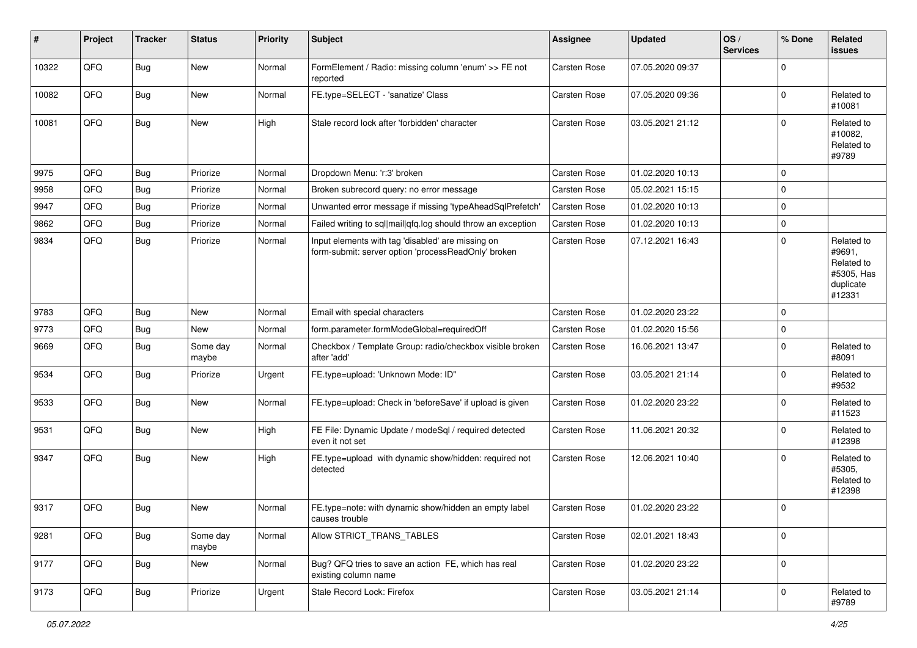| #     | Project | <b>Tracker</b> | <b>Status</b>     | <b>Priority</b> | <b>Subject</b>                                                                                           | <b>Assignee</b> | <b>Updated</b>   | OS/<br><b>Services</b> | % Done              | Related<br><b>issues</b>                                                |
|-------|---------|----------------|-------------------|-----------------|----------------------------------------------------------------------------------------------------------|-----------------|------------------|------------------------|---------------------|-------------------------------------------------------------------------|
| 10322 | QFQ     | Bug            | New               | Normal          | FormElement / Radio: missing column 'enum' >> FE not<br>reported                                         | Carsten Rose    | 07.05.2020 09:37 |                        | $\mathbf 0$         |                                                                         |
| 10082 | QFQ     | Bug            | New               | Normal          | FE.type=SELECT - 'sanatize' Class                                                                        | Carsten Rose    | 07.05.2020 09:36 |                        | $\mathbf 0$         | Related to<br>#10081                                                    |
| 10081 | QFQ     | Bug            | <b>New</b>        | High            | Stale record lock after 'forbidden' character                                                            | Carsten Rose    | 03.05.2021 21:12 |                        | $\Omega$            | Related to<br>#10082,<br>Related to<br>#9789                            |
| 9975  | QFQ     | Bug            | Priorize          | Normal          | Dropdown Menu: 'r:3' broken                                                                              | Carsten Rose    | 01.02.2020 10:13 |                        | $\mathbf 0$         |                                                                         |
| 9958  | QFQ     | Bug            | Priorize          | Normal          | Broken subrecord query: no error message                                                                 | Carsten Rose    | 05.02.2021 15:15 |                        | $\mathbf 0$         |                                                                         |
| 9947  | QFQ     | <b>Bug</b>     | Priorize          | Normal          | Unwanted error message if missing 'typeAheadSqlPrefetch'                                                 | Carsten Rose    | 01.02.2020 10:13 |                        | $\mathbf 0$         |                                                                         |
| 9862  | QFQ     | <b>Bug</b>     | Priorize          | Normal          | Failed writing to sql mail qfq.log should throw an exception                                             | Carsten Rose    | 01.02.2020 10:13 |                        | $\mathbf 0$         |                                                                         |
| 9834  | QFQ     | <b>Bug</b>     | Priorize          | Normal          | Input elements with tag 'disabled' are missing on<br>form-submit: server option 'processReadOnly' broken | Carsten Rose    | 07.12.2021 16:43 |                        | $\mathbf 0$         | Related to<br>#9691,<br>Related to<br>#5305, Has<br>duplicate<br>#12331 |
| 9783  | QFQ     | <b>Bug</b>     | New               | Normal          | Email with special characters                                                                            | Carsten Rose    | 01.02.2020 23:22 |                        | $\mathbf 0$         |                                                                         |
| 9773  | QFQ     | <b>Bug</b>     | New               | Normal          | form.parameter.formModeGlobal=requiredOff                                                                | Carsten Rose    | 01.02.2020 15:56 |                        | $\mathbf 0$         |                                                                         |
| 9669  | QFQ     | Bug            | Some day<br>maybe | Normal          | Checkbox / Template Group: radio/checkbox visible broken<br>after 'add'                                  | Carsten Rose    | 16.06.2021 13:47 |                        | $\mathbf 0$         | Related to<br>#8091                                                     |
| 9534  | QFQ     | <b>Bug</b>     | Priorize          | Urgent          | FE.type=upload: 'Unknown Mode: ID"                                                                       | Carsten Rose    | 03.05.2021 21:14 |                        | $\mathbf 0$         | Related to<br>#9532                                                     |
| 9533  | QFQ     | <b>Bug</b>     | New               | Normal          | FE.type=upload: Check in 'beforeSave' if upload is given                                                 | Carsten Rose    | 01.02.2020 23:22 |                        | $\mathbf 0$         | Related to<br>#11523                                                    |
| 9531  | QFQ     | Bug            | New               | High            | FE File: Dynamic Update / modeSql / required detected<br>even it not set                                 | Carsten Rose    | 11.06.2021 20:32 |                        | $\mathbf 0$         | Related to<br>#12398                                                    |
| 9347  | QFQ     | Bug            | New               | High            | FE.type=upload with dynamic show/hidden: required not<br>detected                                        | Carsten Rose    | 12.06.2021 10:40 |                        | $\mathbf 0$         | Related to<br>#5305,<br>Related to<br>#12398                            |
| 9317  | QFQ     | <b>Bug</b>     | <b>New</b>        | Normal          | FE.type=note: with dynamic show/hidden an empty label<br>causes trouble                                  | Carsten Rose    | 01.02.2020 23:22 |                        | $\mathbf 0$         |                                                                         |
| 9281  | QFQ     | <b>Bug</b>     | Some day<br>maybe | Normal          | Allow STRICT TRANS TABLES                                                                                | Carsten Rose    | 02.01.2021 18:43 |                        | $\mathbf 0$         |                                                                         |
| 9177  | QFQ     | <b>Bug</b>     | New               | Normal          | Bug? QFQ tries to save an action FE, which has real<br>existing column name                              | Carsten Rose    | 01.02.2020 23:22 |                        | $\mathbf 0$         |                                                                         |
| 9173  | QFQ     | <b>Bug</b>     | Priorize          | Urgent          | Stale Record Lock: Firefox                                                                               | Carsten Rose    | 03.05.2021 21:14 |                        | $\mathsf{O}\xspace$ | Related to<br>#9789                                                     |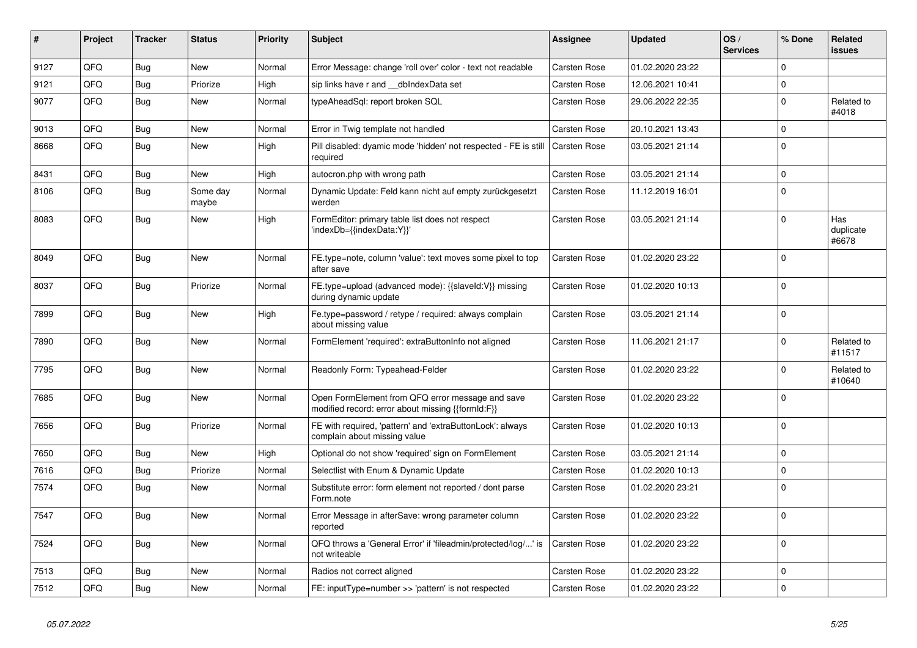| ∥ #  | Project | <b>Tracker</b> | <b>Status</b>     | <b>Priority</b> | <b>Subject</b>                                                                                        | Assignee     | <b>Updated</b>   | OS/<br><b>Services</b> | % Done      | Related<br><b>issues</b>  |
|------|---------|----------------|-------------------|-----------------|-------------------------------------------------------------------------------------------------------|--------------|------------------|------------------------|-------------|---------------------------|
| 9127 | QFQ     | <b>Bug</b>     | <b>New</b>        | Normal          | Error Message: change 'roll over' color - text not readable                                           | Carsten Rose | 01.02.2020 23:22 |                        | $\Omega$    |                           |
| 9121 | QFQ     | <b>Bug</b>     | Priorize          | High            | sip links have r and dblndexData set                                                                  | Carsten Rose | 12.06.2021 10:41 |                        | $\Omega$    |                           |
| 9077 | QFQ     | <b>Bug</b>     | <b>New</b>        | Normal          | typeAheadSql: report broken SQL                                                                       | Carsten Rose | 29.06.2022 22:35 |                        | $\Omega$    | Related to<br>#4018       |
| 9013 | QFQ     | Bug            | New               | Normal          | Error in Twig template not handled                                                                    | Carsten Rose | 20.10.2021 13:43 |                        | $\Omega$    |                           |
| 8668 | QFQ     | Bug            | <b>New</b>        | High            | Pill disabled: dyamic mode 'hidden' not respected - FE is still<br>required                           | Carsten Rose | 03.05.2021 21:14 |                        | $\Omega$    |                           |
| 8431 | QFQ     | Bug            | <b>New</b>        | High            | autocron.php with wrong path                                                                          | Carsten Rose | 03.05.2021 21:14 |                        | $\Omega$    |                           |
| 8106 | QFQ     | Bug            | Some day<br>maybe | Normal          | Dynamic Update: Feld kann nicht auf empty zurückgesetzt<br>werden                                     | Carsten Rose | 11.12.2019 16:01 |                        | $\Omega$    |                           |
| 8083 | QFQ     | <b>Bug</b>     | <b>New</b>        | High            | FormEditor: primary table list does not respect<br>'indexDb={{indexData:Y}}'                          | Carsten Rose | 03.05.2021 21:14 |                        | $\Omega$    | Has<br>duplicate<br>#6678 |
| 8049 | QFQ     | Bug            | <b>New</b>        | Normal          | FE.type=note, column 'value': text moves some pixel to top<br>after save                              | Carsten Rose | 01.02.2020 23:22 |                        | $\Omega$    |                           |
| 8037 | QFQ     | <b>Bug</b>     | Priorize          | Normal          | FE.type=upload (advanced mode): {{slaveId:V}} missing<br>during dynamic update                        | Carsten Rose | 01.02.2020 10:13 |                        | $\Omega$    |                           |
| 7899 | QFQ     | <b>Bug</b>     | <b>New</b>        | High            | Fe.type=password / retype / required: always complain<br>about missing value                          | Carsten Rose | 03.05.2021 21:14 |                        | $\mathbf 0$ |                           |
| 7890 | QFQ     | Bug            | <b>New</b>        | Normal          | FormElement 'required': extraButtonInfo not aligned                                                   | Carsten Rose | 11.06.2021 21:17 |                        | $\Omega$    | Related to<br>#11517      |
| 7795 | QFQ     | <b>Bug</b>     | <b>New</b>        | Normal          | Readonly Form: Typeahead-Felder                                                                       | Carsten Rose | 01.02.2020 23:22 |                        | $\Omega$    | Related to<br>#10640      |
| 7685 | QFQ     | Bug            | <b>New</b>        | Normal          | Open FormElement from QFQ error message and save<br>modified record: error about missing {{formId:F}} | Carsten Rose | 01.02.2020 23:22 |                        | $\Omega$    |                           |
| 7656 | QFQ     | Bug            | Priorize          | Normal          | FE with required, 'pattern' and 'extraButtonLock': always<br>complain about missing value             | Carsten Rose | 01.02.2020 10:13 |                        | $\Omega$    |                           |
| 7650 | QFQ     | <b>Bug</b>     | <b>New</b>        | High            | Optional do not show 'required' sign on FormElement                                                   | Carsten Rose | 03.05.2021 21:14 |                        | $\Omega$    |                           |
| 7616 | QFQ     | <b>Bug</b>     | Priorize          | Normal          | Selectlist with Enum & Dynamic Update                                                                 | Carsten Rose | 01.02.2020 10:13 |                        | $\Omega$    |                           |
| 7574 | QFQ     | <b>Bug</b>     | <b>New</b>        | Normal          | Substitute error: form element not reported / dont parse<br>Form.note                                 | Carsten Rose | 01.02.2020 23:21 |                        | $\Omega$    |                           |
| 7547 | QFQ     | <b>Bug</b>     | <b>New</b>        | Normal          | Error Message in afterSave: wrong parameter column<br>reported                                        | Carsten Rose | 01.02.2020 23:22 |                        | $\Omega$    |                           |
| 7524 | QFQ     | <b>Bug</b>     | New               | Normal          | QFQ throws a 'General Error' if 'fileadmin/protected/log/' is<br>not writeable                        | Carsten Rose | 01.02.2020 23:22 |                        | $\Omega$    |                           |
| 7513 | QFQ     | Bug            | <b>New</b>        | Normal          | Radios not correct aligned                                                                            | Carsten Rose | 01.02.2020 23:22 |                        | $\mathbf 0$ |                           |
| 7512 | QFQ     | Bug            | <b>New</b>        | Normal          | FE: inputType=number >> 'pattern' is not respected                                                    | Carsten Rose | 01.02.2020 23:22 |                        | $\Omega$    |                           |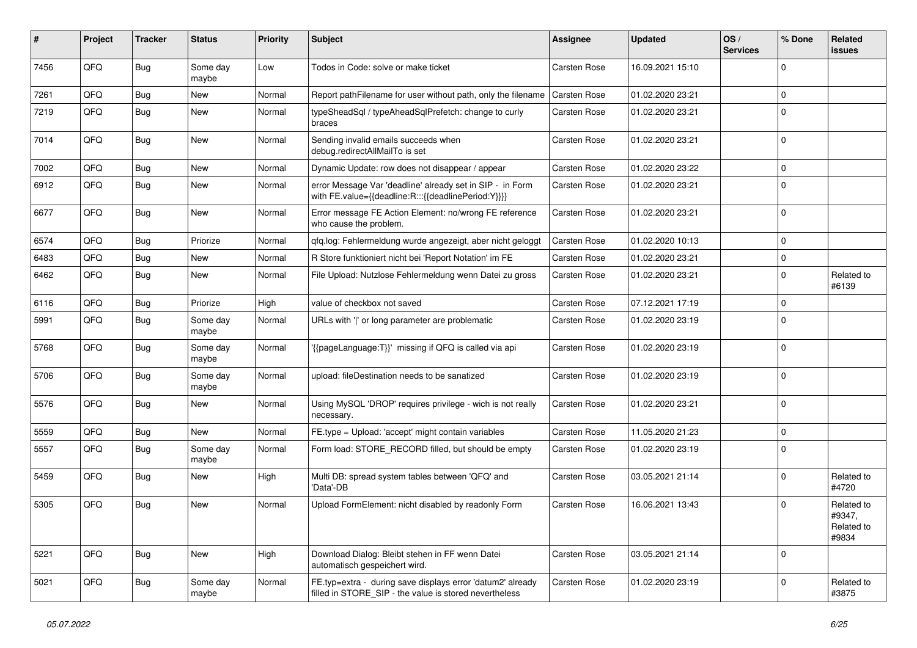| #    | Project | <b>Tracker</b> | <b>Status</b>     | <b>Priority</b> | Subject                                                                                                              | Assignee     | <b>Updated</b>   | OS/<br><b>Services</b> | % Done      | Related<br><b>issues</b>                    |
|------|---------|----------------|-------------------|-----------------|----------------------------------------------------------------------------------------------------------------------|--------------|------------------|------------------------|-------------|---------------------------------------------|
| 7456 | QFQ     | Bug            | Some day<br>maybe | Low             | Todos in Code: solve or make ticket                                                                                  | Carsten Rose | 16.09.2021 15:10 |                        | $\Omega$    |                                             |
| 7261 | QFQ     | <b>Bug</b>     | New               | Normal          | Report pathFilename for user without path, only the filename                                                         | Carsten Rose | 01.02.2020 23:21 |                        | $\Omega$    |                                             |
| 7219 | QFQ     | Bug            | New               | Normal          | typeSheadSql / typeAheadSqlPrefetch: change to curly<br>braces                                                       | Carsten Rose | 01.02.2020 23:21 |                        | $\Omega$    |                                             |
| 7014 | QFQ     | <b>Bug</b>     | <b>New</b>        | Normal          | Sending invalid emails succeeds when<br>debug.redirectAllMailTo is set                                               | Carsten Rose | 01.02.2020 23:21 |                        | $\Omega$    |                                             |
| 7002 | QFQ     | Bug            | <b>New</b>        | Normal          | Dynamic Update: row does not disappear / appear                                                                      | Carsten Rose | 01.02.2020 23:22 |                        | $\Omega$    |                                             |
| 6912 | QFQ     | Bug            | New               | Normal          | error Message Var 'deadline' already set in SIP - in Form<br>with FE.value={{deadline:R:::{{deadlinePeriod:Y}}}}     | Carsten Rose | 01.02.2020 23:21 |                        | $\mathbf 0$ |                                             |
| 6677 | QFQ     | Bug            | New               | Normal          | Error message FE Action Element: no/wrong FE reference<br>who cause the problem.                                     | Carsten Rose | 01.02.2020 23:21 |                        | $\Omega$    |                                             |
| 6574 | QFQ     | Bug            | Priorize          | Normal          | qfq.log: Fehlermeldung wurde angezeigt, aber nicht geloggt                                                           | Carsten Rose | 01.02.2020 10:13 |                        | $\mathbf 0$ |                                             |
| 6483 | QFQ     | <b>Bug</b>     | <b>New</b>        | Normal          | R Store funktioniert nicht bei 'Report Notation' im FE                                                               | Carsten Rose | 01.02.2020 23:21 |                        | $\mathbf 0$ |                                             |
| 6462 | QFQ     | Bug            | New               | Normal          | File Upload: Nutzlose Fehlermeldung wenn Datei zu gross                                                              | Carsten Rose | 01.02.2020 23:21 |                        | $\Omega$    | Related to<br>#6139                         |
| 6116 | QFQ     | Bug            | Priorize          | High            | value of checkbox not saved                                                                                          | Carsten Rose | 07.12.2021 17:19 |                        | $\mathbf 0$ |                                             |
| 5991 | QFQ     | Bug            | Some day<br>maybe | Normal          | URLs with ' ' or long parameter are problematic                                                                      | Carsten Rose | 01.02.2020 23:19 |                        | $\mathbf 0$ |                                             |
| 5768 | QFQ     | Bug            | Some day<br>maybe | Normal          | '{{pageLanguage:T}}' missing if QFQ is called via api                                                                | Carsten Rose | 01.02.2020 23:19 |                        | $\Omega$    |                                             |
| 5706 | QFQ     | <b>Bug</b>     | Some day<br>maybe | Normal          | upload: fileDestination needs to be sanatized                                                                        | Carsten Rose | 01.02.2020 23:19 |                        | $\Omega$    |                                             |
| 5576 | QFQ     | Bug            | <b>New</b>        | Normal          | Using MySQL 'DROP' requires privilege - wich is not really<br>necessary.                                             | Carsten Rose | 01.02.2020 23:21 |                        | $\Omega$    |                                             |
| 5559 | QFQ     | Bug            | <b>New</b>        | Normal          | FE.type = Upload: 'accept' might contain variables                                                                   | Carsten Rose | 11.05.2020 21:23 |                        | $\mathbf 0$ |                                             |
| 5557 | QFQ     | <b>Bug</b>     | Some day<br>maybe | Normal          | Form load: STORE_RECORD filled, but should be empty                                                                  | Carsten Rose | 01.02.2020 23:19 |                        | $\Omega$    |                                             |
| 5459 | QFQ     | <b>Bug</b>     | New               | High            | Multi DB: spread system tables between 'QFQ' and<br>'Data'-DB                                                        | Carsten Rose | 03.05.2021 21:14 |                        | $\Omega$    | Related to<br>#4720                         |
| 5305 | QFQ     | <b>Bug</b>     | New               | Normal          | Upload FormElement: nicht disabled by readonly Form                                                                  | Carsten Rose | 16.06.2021 13:43 |                        | $\Omega$    | Related to<br>#9347,<br>Related to<br>#9834 |
| 5221 | QFQ     | Bug            | New               | High            | Download Dialog: Bleibt stehen in FF wenn Datei<br>automatisch gespeichert wird.                                     | Carsten Rose | 03.05.2021 21:14 |                        | 0           |                                             |
| 5021 | QFQ     | <b>Bug</b>     | Some day<br>maybe | Normal          | FE.typ=extra - during save displays error 'datum2' already<br>filled in STORE_SIP - the value is stored nevertheless | Carsten Rose | 01.02.2020 23:19 |                        | $\mathbf 0$ | Related to<br>#3875                         |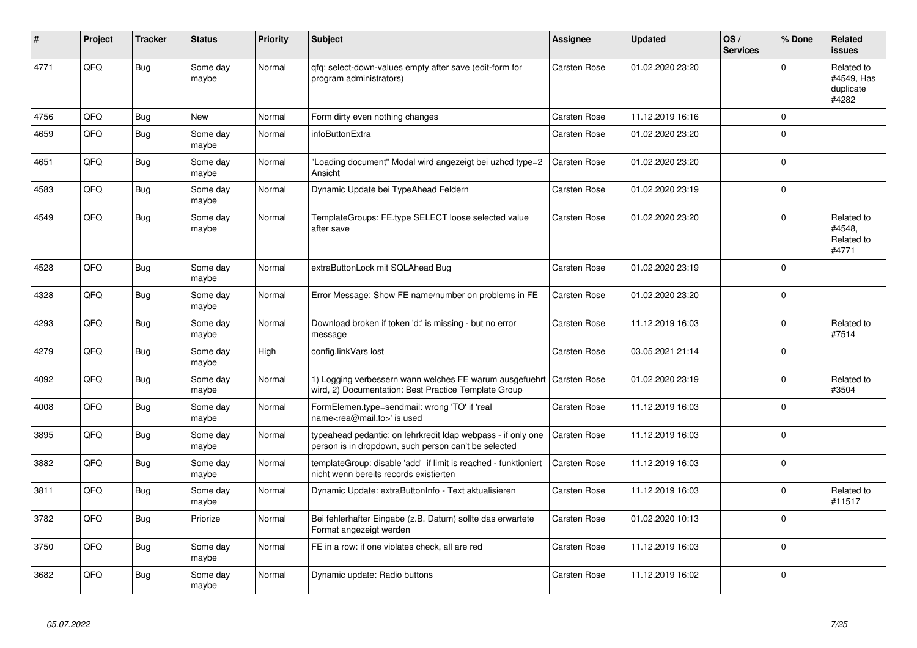| #    | Project | <b>Tracker</b> | <b>Status</b>     | <b>Priority</b> | <b>Subject</b>                                                                                                       | <b>Assignee</b>     | <b>Updated</b>   | OS/<br><b>Services</b> | % Done   | Related<br><b>issues</b>                       |
|------|---------|----------------|-------------------|-----------------|----------------------------------------------------------------------------------------------------------------------|---------------------|------------------|------------------------|----------|------------------------------------------------|
| 4771 | QFQ     | <b>Bug</b>     | Some day<br>maybe | Normal          | gfg: select-down-values empty after save (edit-form for<br>program administrators)                                   | Carsten Rose        | 01.02.2020 23:20 |                        | $\Omega$ | Related to<br>#4549, Has<br>duplicate<br>#4282 |
| 4756 | QFQ     | Bug            | <b>New</b>        | Normal          | Form dirty even nothing changes                                                                                      | Carsten Rose        | 11.12.2019 16:16 |                        | $\Omega$ |                                                |
| 4659 | QFQ     | <b>Bug</b>     | Some day<br>maybe | Normal          | infoButtonExtra                                                                                                      | Carsten Rose        | 01.02.2020 23:20 |                        | $\Omega$ |                                                |
| 4651 | QFQ     | <b>Bug</b>     | Some day<br>maybe | Normal          | "Loading document" Modal wird angezeigt bei uzhcd type=2<br>Ansicht                                                  | Carsten Rose        | 01.02.2020 23:20 |                        | $\Omega$ |                                                |
| 4583 | QFQ     | <b>Bug</b>     | Some day<br>maybe | Normal          | Dynamic Update bei TypeAhead Feldern                                                                                 | Carsten Rose        | 01.02.2020 23:19 |                        | $\Omega$ |                                                |
| 4549 | QFQ     | Bug            | Some day<br>maybe | Normal          | TemplateGroups: FE.type SELECT loose selected value<br>after save                                                    | Carsten Rose        | 01.02.2020 23:20 |                        | $\Omega$ | Related to<br>#4548.<br>Related to<br>#4771    |
| 4528 | QFQ     | Bug            | Some day<br>maybe | Normal          | extraButtonLock mit SQLAhead Bug                                                                                     | Carsten Rose        | 01.02.2020 23:19 |                        | $\Omega$ |                                                |
| 4328 | QFQ     | Bug            | Some day<br>maybe | Normal          | Error Message: Show FE name/number on problems in FE                                                                 | Carsten Rose        | 01.02.2020 23:20 |                        | $\Omega$ |                                                |
| 4293 | QFQ     | Bug            | Some day<br>maybe | Normal          | Download broken if token 'd:' is missing - but no error<br>message                                                   | Carsten Rose        | 11.12.2019 16:03 |                        | $\Omega$ | Related to<br>#7514                            |
| 4279 | QFQ     | Bug            | Some day<br>maybe | High            | config.linkVars lost                                                                                                 | Carsten Rose        | 03.05.2021 21:14 |                        | $\Omega$ |                                                |
| 4092 | QFQ     | <b>Bug</b>     | Some day<br>maybe | Normal          | 1) Logging verbessern wann welches FE warum ausgefuehrt<br>wird, 2) Documentation: Best Practice Template Group      | Carsten Rose        | 01.02.2020 23:19 |                        | $\Omega$ | Related to<br>#3504                            |
| 4008 | QFQ     | Bug            | Some day<br>maybe | Normal          | FormElemen.type=sendmail: wrong 'TO' if 'real<br>name <rea@mail.to>' is used</rea@mail.to>                           | Carsten Rose        | 11.12.2019 16:03 |                        | $\Omega$ |                                                |
| 3895 | QFQ     | Bug            | Some day<br>maybe | Normal          | typeahead pedantic: on lehrkredit Idap webpass - if only one<br>person is in dropdown, such person can't be selected | Carsten Rose        | 11.12.2019 16:03 |                        | $\Omega$ |                                                |
| 3882 | QFQ     | Bug            | Some day<br>maybe | Normal          | templateGroup: disable 'add' if limit is reached - funktioniert<br>nicht wenn bereits records existierten            | Carsten Rose        | 11.12.2019 16:03 |                        | $\Omega$ |                                                |
| 3811 | QFQ     | Bug            | Some day<br>maybe | Normal          | Dynamic Update: extraButtonInfo - Text aktualisieren                                                                 | Carsten Rose        | 11.12.2019 16:03 |                        | $\Omega$ | Related to<br>#11517                           |
| 3782 | QFQ     | Bug            | Priorize          | Normal          | Bei fehlerhafter Eingabe (z.B. Datum) sollte das erwartete<br>Format angezeigt werden                                | Carsten Rose        | 01.02.2020 10:13 |                        | $\Omega$ |                                                |
| 3750 | QFQ     | <b>Bug</b>     | Some day<br>maybe | Normal          | FE in a row: if one violates check, all are red                                                                      | Carsten Rose        | 11.12.2019 16:03 |                        | $\Omega$ |                                                |
| 3682 | QFQ     | <b>Bug</b>     | Some day<br>maybe | Normal          | Dynamic update: Radio buttons                                                                                        | <b>Carsten Rose</b> | 11.12.2019 16:02 |                        | $\Omega$ |                                                |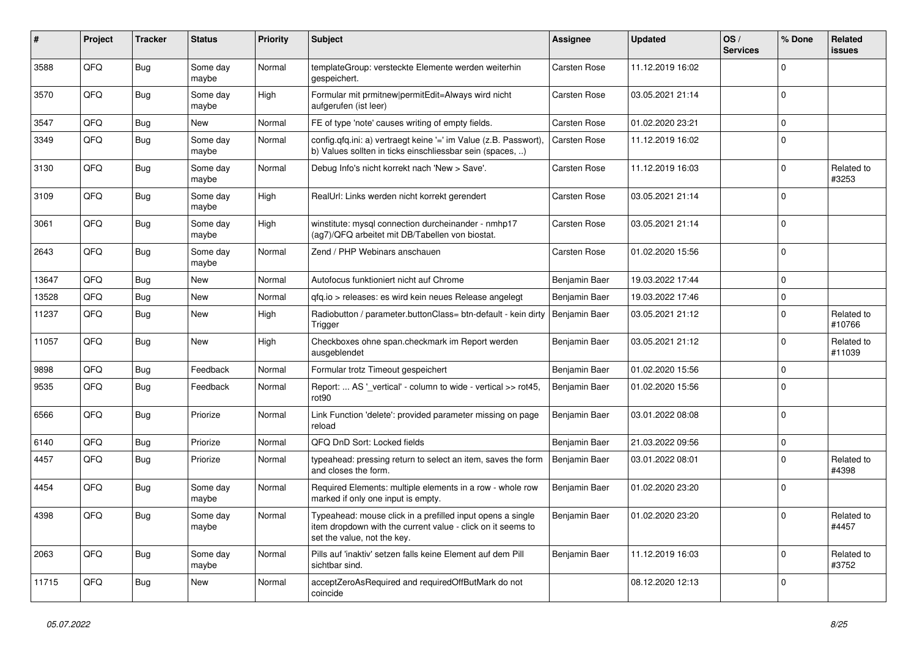| #     | Project | <b>Tracker</b> | <b>Status</b>     | <b>Priority</b> | <b>Subject</b>                                                                                                                                           | <b>Assignee</b> | <b>Updated</b>   | OS/<br><b>Services</b> | % Done      | Related<br><b>issues</b> |
|-------|---------|----------------|-------------------|-----------------|----------------------------------------------------------------------------------------------------------------------------------------------------------|-----------------|------------------|------------------------|-------------|--------------------------|
| 3588  | QFQ     | Bug            | Some day<br>maybe | Normal          | templateGroup: versteckte Elemente werden weiterhin<br>gespeichert.                                                                                      | Carsten Rose    | 11.12.2019 16:02 |                        | $\Omega$    |                          |
| 3570  | QFQ     | Bug            | Some day<br>maybe | High            | Formular mit prmitnew permitEdit=Always wird nicht<br>aufgerufen (ist leer)                                                                              | Carsten Rose    | 03.05.2021 21:14 |                        | $\Omega$    |                          |
| 3547  | QFQ     | <b>Bug</b>     | New               | Normal          | FE of type 'note' causes writing of empty fields.                                                                                                        | Carsten Rose    | 01.02.2020 23:21 |                        | $\Omega$    |                          |
| 3349  | QFQ     | <b>Bug</b>     | Some day<br>maybe | Normal          | config.qfq.ini: a) vertraegt keine '=' im Value (z.B. Passwort),<br>b) Values sollten in ticks einschliessbar sein (spaces)                              | Carsten Rose    | 11.12.2019 16:02 |                        | $\Omega$    |                          |
| 3130  | QFQ     | Bug            | Some day<br>maybe | Normal          | Debug Info's nicht korrekt nach 'New > Save'.                                                                                                            | Carsten Rose    | 11.12.2019 16:03 |                        | $\Omega$    | Related to<br>#3253      |
| 3109  | QFQ     | Bug            | Some day<br>maybe | High            | RealUrl: Links werden nicht korrekt gerendert                                                                                                            | Carsten Rose    | 03.05.2021 21:14 |                        | $\mathbf 0$ |                          |
| 3061  | QFQ     | <b>Bug</b>     | Some day<br>maybe | High            | winstitute: mysql connection durcheinander - nmhp17<br>(ag7)/QFQ arbeitet mit DB/Tabellen von biostat.                                                   | Carsten Rose    | 03.05.2021 21:14 |                        | $\mathbf 0$ |                          |
| 2643  | QFQ     | <b>Bug</b>     | Some day<br>maybe | Normal          | Zend / PHP Webinars anschauen                                                                                                                            | Carsten Rose    | 01.02.2020 15:56 |                        | $\mathbf 0$ |                          |
| 13647 | QFQ     | <b>Bug</b>     | <b>New</b>        | Normal          | Autofocus funktioniert nicht auf Chrome                                                                                                                  | Benjamin Baer   | 19.03.2022 17:44 |                        | $\Omega$    |                          |
| 13528 | QFQ     | <b>Bug</b>     | <b>New</b>        | Normal          | gfg.io > releases: es wird kein neues Release angelegt                                                                                                   | Benjamin Baer   | 19.03.2022 17:46 |                        | $\Omega$    |                          |
| 11237 | QFQ     | Bug            | <b>New</b>        | High            | Radiobutton / parameter.buttonClass= btn-default - kein dirty<br>Trigger                                                                                 | Benjamin Baer   | 03.05.2021 21:12 |                        | $\Omega$    | Related to<br>#10766     |
| 11057 | QFQ     | Bug            | <b>New</b>        | High            | Checkboxes ohne span.checkmark im Report werden<br>ausgeblendet                                                                                          | Benjamin Baer   | 03.05.2021 21:12 |                        | $\Omega$    | Related to<br>#11039     |
| 9898  | QFQ     | <b>Bug</b>     | Feedback          | Normal          | Formular trotz Timeout gespeichert                                                                                                                       | Benjamin Baer   | 01.02.2020 15:56 |                        | $\Omega$    |                          |
| 9535  | QFQ     | <b>Bug</b>     | Feedback          | Normal          | Report:  AS '_vertical' - column to wide - vertical >> rot45,<br>rot <sub>90</sub>                                                                       | Benjamin Baer   | 01.02.2020 15:56 |                        | $\Omega$    |                          |
| 6566  | QFQ     | Bug            | Priorize          | Normal          | Link Function 'delete': provided parameter missing on page<br>reload                                                                                     | Benjamin Baer   | 03.01.2022 08:08 |                        | $\Omega$    |                          |
| 6140  | QFQ     | <b>Bug</b>     | Priorize          | Normal          | QFQ DnD Sort: Locked fields                                                                                                                              | Benjamin Baer   | 21.03.2022 09:56 |                        | $\Omega$    |                          |
| 4457  | QFQ     | <b>Bug</b>     | Priorize          | Normal          | typeahead: pressing return to select an item, saves the form<br>and closes the form.                                                                     | Benjamin Baer   | 03.01.2022 08:01 |                        | $\Omega$    | Related to<br>#4398      |
| 4454  | QFQ     | <b>Bug</b>     | Some day<br>maybe | Normal          | Required Elements: multiple elements in a row - whole row<br>marked if only one input is empty.                                                          | Benjamin Baer   | 01.02.2020 23:20 |                        | $\Omega$    |                          |
| 4398  | QFQ     | Bug            | Some day<br>maybe | Normal          | Typeahead: mouse click in a prefilled input opens a single<br>item dropdown with the current value - click on it seems to<br>set the value, not the key. | Benjamin Baer   | 01.02.2020 23:20 |                        | $\Omega$    | Related to<br>#4457      |
| 2063  | QFQ     | <b>Bug</b>     | Some day<br>maybe | Normal          | Pills auf 'inaktiv' setzen falls keine Element auf dem Pill<br>sichtbar sind.                                                                            | Benjamin Baer   | 11.12.2019 16:03 |                        | $\mathbf 0$ | Related to<br>#3752      |
| 11715 | QFQ     | <b>Bug</b>     | New               | Normal          | acceptZeroAsRequired and requiredOffButMark do not<br>coincide                                                                                           |                 | 08.12.2020 12:13 |                        | $\mathbf 0$ |                          |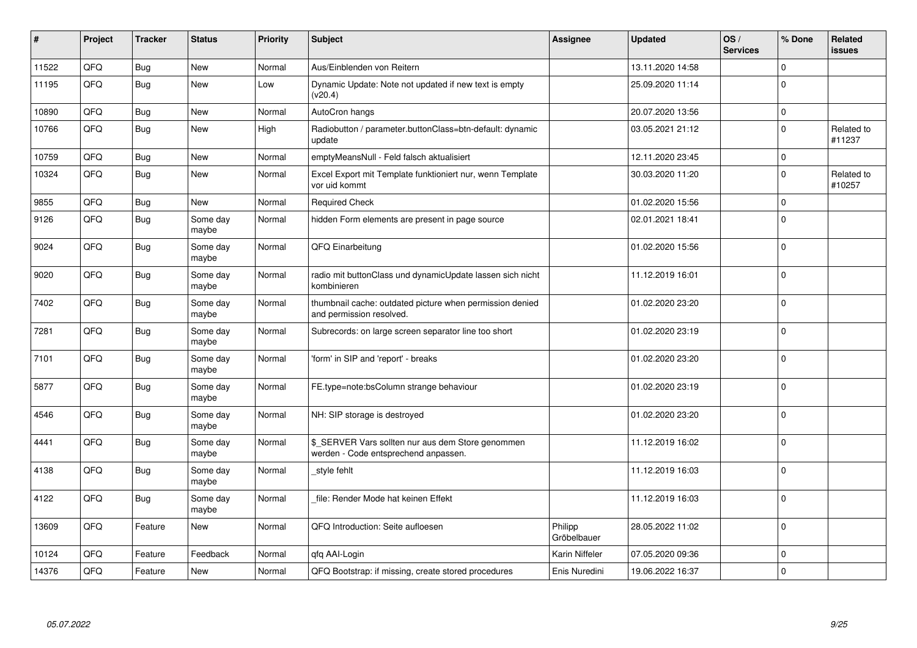| ∦     | Project | <b>Tracker</b> | <b>Status</b>     | <b>Priority</b> | <b>Subject</b>                                                                            | <b>Assignee</b>        | <b>Updated</b>   | OS/<br><b>Services</b> | % Done      | Related<br>issues    |
|-------|---------|----------------|-------------------|-----------------|-------------------------------------------------------------------------------------------|------------------------|------------------|------------------------|-------------|----------------------|
| 11522 | QFQ     | <b>Bug</b>     | <b>New</b>        | Normal          | Aus/Einblenden von Reitern                                                                |                        | 13.11.2020 14:58 |                        | $\Omega$    |                      |
| 11195 | QFQ     | <b>Bug</b>     | <b>New</b>        | Low             | Dynamic Update: Note not updated if new text is empty<br>(v20.4)                          |                        | 25.09.2020 11:14 |                        | $\Omega$    |                      |
| 10890 | QFQ     | <b>Bug</b>     | <b>New</b>        | Normal          | AutoCron hangs                                                                            |                        | 20.07.2020 13:56 |                        | $\Omega$    |                      |
| 10766 | QFQ     | <b>Bug</b>     | New               | High            | Radiobutton / parameter.buttonClass=btn-default: dynamic<br>update                        |                        | 03.05.2021 21:12 |                        | $\Omega$    | Related to<br>#11237 |
| 10759 | QFQ     | <b>Bug</b>     | <b>New</b>        | Normal          | emptyMeansNull - Feld falsch aktualisiert                                                 |                        | 12.11.2020 23:45 |                        | $\Omega$    |                      |
| 10324 | QFQ     | <b>Bug</b>     | <b>New</b>        | Normal          | Excel Export mit Template funktioniert nur, wenn Template<br>vor uid kommt                |                        | 30.03.2020 11:20 |                        | $\Omega$    | Related to<br>#10257 |
| 9855  | QFQ     | Bug            | New               | Normal          | <b>Required Check</b>                                                                     |                        | 01.02.2020 15:56 |                        | $\Omega$    |                      |
| 9126  | QFQ     | <b>Bug</b>     | Some day<br>maybe | Normal          | hidden Form elements are present in page source                                           |                        | 02.01.2021 18:41 |                        | $\Omega$    |                      |
| 9024  | QFQ     | <b>Bug</b>     | Some day<br>maybe | Normal          | QFQ Einarbeitung                                                                          |                        | 01.02.2020 15:56 |                        | $\mathbf 0$ |                      |
| 9020  | QFQ     | <b>Bug</b>     | Some day<br>maybe | Normal          | radio mit buttonClass und dynamicUpdate lassen sich nicht<br>kombinieren                  |                        | 11.12.2019 16:01 |                        | $\Omega$    |                      |
| 7402  | QFQ     | <b>Bug</b>     | Some day<br>maybe | Normal          | thumbnail cache: outdated picture when permission denied<br>and permission resolved.      |                        | 01.02.2020 23:20 |                        | $\Omega$    |                      |
| 7281  | QFQ     | <b>Bug</b>     | Some day<br>maybe | Normal          | Subrecords: on large screen separator line too short                                      |                        | 01.02.2020 23:19 |                        | $\Omega$    |                      |
| 7101  | QFQ     | Bug            | Some day<br>maybe | Normal          | 'form' in SIP and 'report' - breaks                                                       |                        | 01.02.2020 23:20 |                        | $\Omega$    |                      |
| 5877  | QFQ     | <b>Bug</b>     | Some day<br>maybe | Normal          | FE.type=note:bsColumn strange behaviour                                                   |                        | 01.02.2020 23:19 |                        | $\Omega$    |                      |
| 4546  | QFQ     | <b>Bug</b>     | Some day<br>maybe | Normal          | NH: SIP storage is destroyed                                                              |                        | 01.02.2020 23:20 |                        | $\Omega$    |                      |
| 4441  | QFQ     | <b>Bug</b>     | Some day<br>maybe | Normal          | \$_SERVER Vars sollten nur aus dem Store genommen<br>werden - Code entsprechend anpassen. |                        | 11.12.2019 16:02 |                        | $\Omega$    |                      |
| 4138  | QFQ     | <b>Bug</b>     | Some day<br>maybe | Normal          | style fehlt                                                                               |                        | 11.12.2019 16:03 |                        | $\mathbf 0$ |                      |
| 4122  | QFQ     | <b>Bug</b>     | Some day<br>maybe | Normal          | file: Render Mode hat keinen Effekt                                                       |                        | 11.12.2019 16:03 |                        | $\Omega$    |                      |
| 13609 | QFQ     | Feature        | <b>New</b>        | Normal          | QFQ Introduction: Seite aufloesen                                                         | Philipp<br>Gröbelbauer | 28.05.2022 11:02 |                        | $\Omega$    |                      |
| 10124 | QFQ     | Feature        | Feedback          | Normal          | qfq AAI-Login                                                                             | Karin Niffeler         | 07.05.2020 09:36 |                        | $\Omega$    |                      |
| 14376 | QFQ     | Feature        | New               | Normal          | QFQ Bootstrap: if missing, create stored procedures                                       | Enis Nuredini          | 19.06.2022 16:37 |                        | $\Omega$    |                      |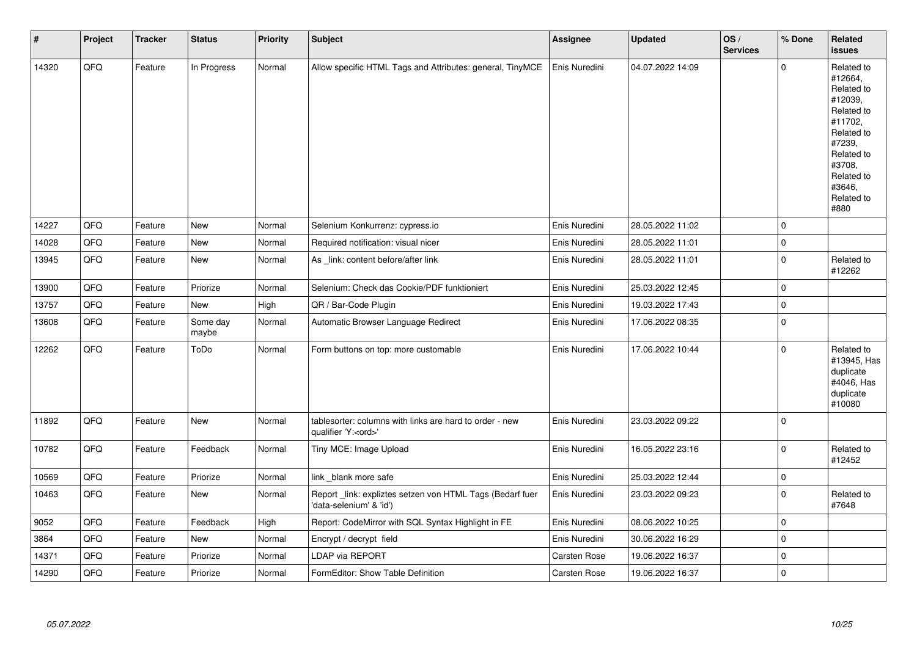| $\pmb{\sharp}$ | Project | <b>Tracker</b> | <b>Status</b>     | <b>Priority</b> | <b>Subject</b>                                                                        | Assignee      | <b>Updated</b>   | OS/<br><b>Services</b> | % Done              | Related<br><b>issues</b>                                                                                                                                              |
|----------------|---------|----------------|-------------------|-----------------|---------------------------------------------------------------------------------------|---------------|------------------|------------------------|---------------------|-----------------------------------------------------------------------------------------------------------------------------------------------------------------------|
| 14320          | QFQ     | Feature        | In Progress       | Normal          | Allow specific HTML Tags and Attributes: general, TinyMCE                             | Enis Nuredini | 04.07.2022 14:09 |                        | $\mathbf 0$         | Related to<br>#12664,<br>Related to<br>#12039,<br>Related to<br>#11702,<br>Related to<br>#7239,<br>Related to<br>#3708.<br>Related to<br>#3646,<br>Related to<br>#880 |
| 14227          | QFQ     | Feature        | New               | Normal          | Selenium Konkurrenz: cypress.io                                                       | Enis Nuredini | 28.05.2022 11:02 |                        | $\mathbf 0$         |                                                                                                                                                                       |
| 14028          | QFQ     | Feature        | New               | Normal          | Required notification: visual nicer                                                   | Enis Nuredini | 28.05.2022 11:01 |                        | $\mathbf 0$         |                                                                                                                                                                       |
| 13945          | QFQ     | Feature        | New               | Normal          | As _link: content before/after link                                                   | Enis Nuredini | 28.05.2022 11:01 |                        | $\mathbf 0$         | Related to<br>#12262                                                                                                                                                  |
| 13900          | QFQ     | Feature        | Priorize          | Normal          | Selenium: Check das Cookie/PDF funktioniert                                           | Enis Nuredini | 25.03.2022 12:45 |                        | $\mathbf 0$         |                                                                                                                                                                       |
| 13757          | QFQ     | Feature        | New               | High            | QR / Bar-Code Plugin                                                                  | Enis Nuredini | 19.03.2022 17:43 |                        | $\mathbf 0$         |                                                                                                                                                                       |
| 13608          | QFQ     | Feature        | Some day<br>maybe | Normal          | Automatic Browser Language Redirect                                                   | Enis Nuredini | 17.06.2022 08:35 |                        | $\mathbf 0$         |                                                                                                                                                                       |
| 12262          | QFQ     | Feature        | ToDo              | Normal          | Form buttons on top: more customable                                                  | Enis Nuredini | 17.06.2022 10:44 |                        | $\mathbf 0$         | Related to<br>#13945, Has<br>duplicate<br>#4046, Has<br>duplicate<br>#10080                                                                                           |
| 11892          | QFQ     | Feature        | New               | Normal          | tablesorter: columns with links are hard to order - new<br>qualifier 'Y: <ord>'</ord> | Enis Nuredini | 23.03.2022 09:22 |                        | $\mathbf 0$         |                                                                                                                                                                       |
| 10782          | QFQ     | Feature        | Feedback          | Normal          | Tiny MCE: Image Upload                                                                | Enis Nuredini | 16.05.2022 23:16 |                        | $\mathbf 0$         | Related to<br>#12452                                                                                                                                                  |
| 10569          | QFQ     | Feature        | Priorize          | Normal          | link_blank more safe                                                                  | Enis Nuredini | 25.03.2022 12:44 |                        | $\mathsf{O}\xspace$ |                                                                                                                                                                       |
| 10463          | QFQ     | Feature        | <b>New</b>        | Normal          | Report_link: expliztes setzen von HTML Tags (Bedarf fuer<br>'data-selenium' & 'id')   | Enis Nuredini | 23.03.2022 09:23 |                        | $\mathbf 0$         | Related to<br>#7648                                                                                                                                                   |
| 9052           | QFQ     | Feature        | Feedback          | High            | Report: CodeMirror with SQL Syntax Highlight in FE                                    | Enis Nuredini | 08.06.2022 10:25 |                        | $\mathbf 0$         |                                                                                                                                                                       |
| 3864           | QFQ     | Feature        | New               | Normal          | Encrypt / decrypt field                                                               | Enis Nuredini | 30.06.2022 16:29 |                        | $\pmb{0}$           |                                                                                                                                                                       |
| 14371          | QFQ     | Feature        | Priorize          | Normal          | LDAP via REPORT                                                                       | Carsten Rose  | 19.06.2022 16:37 |                        | $\mathbf 0$         |                                                                                                                                                                       |
| 14290          | QFQ     | Feature        | Priorize          | Normal          | FormEditor: Show Table Definition                                                     | Carsten Rose  | 19.06.2022 16:37 |                        | $\mathbf 0$         |                                                                                                                                                                       |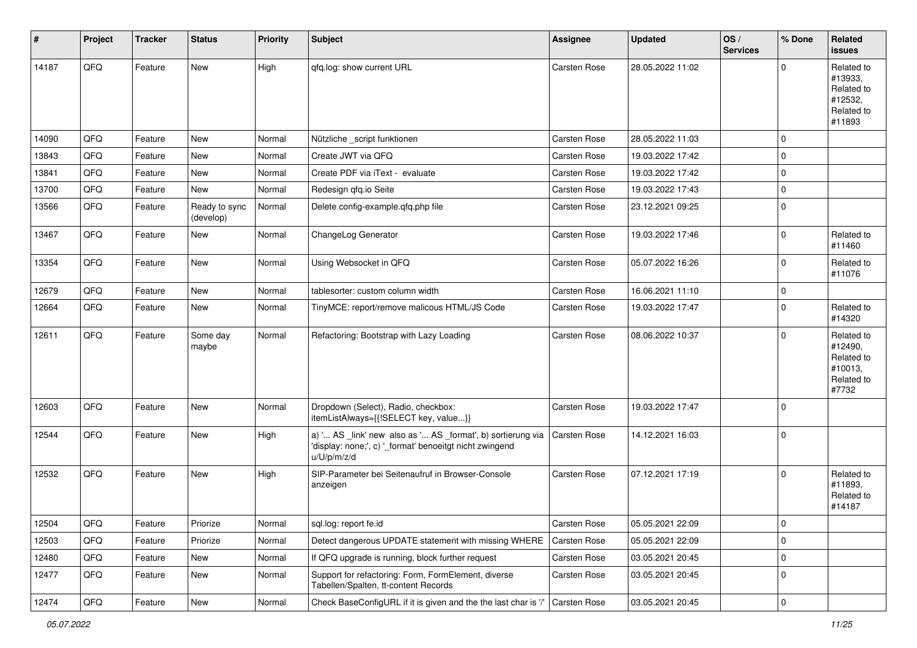| #     | Project | <b>Tracker</b> | <b>Status</b>              | <b>Priority</b> | <b>Subject</b>                                                                                                                        | <b>Assignee</b> | <b>Updated</b>   | OS/<br><b>Services</b> | % Done      | Related<br><b>issues</b>                                               |
|-------|---------|----------------|----------------------------|-----------------|---------------------------------------------------------------------------------------------------------------------------------------|-----------------|------------------|------------------------|-------------|------------------------------------------------------------------------|
| 14187 | QFQ     | Feature        | New                        | High            | qfq.log: show current URL                                                                                                             | Carsten Rose    | 28.05.2022 11:02 |                        | $\mathbf 0$ | Related to<br>#13933,<br>Related to<br>#12532,<br>Related to<br>#11893 |
| 14090 | QFQ     | Feature        | New                        | Normal          | Nützliche _script funktionen                                                                                                          | Carsten Rose    | 28.05.2022 11:03 |                        | $\mathbf 0$ |                                                                        |
| 13843 | QFQ     | Feature        | New                        | Normal          | Create JWT via QFQ                                                                                                                    | Carsten Rose    | 19.03.2022 17:42 |                        | $\mathbf 0$ |                                                                        |
| 13841 | QFQ     | Feature        | New                        | Normal          | Create PDF via iText - evaluate                                                                                                       | Carsten Rose    | 19.03.2022 17:42 |                        | $\pmb{0}$   |                                                                        |
| 13700 | QFQ     | Feature        | New                        | Normal          | Redesign gfg.io Seite                                                                                                                 | Carsten Rose    | 19.03.2022 17:43 |                        | $\mathbf 0$ |                                                                        |
| 13566 | QFQ     | Feature        | Ready to sync<br>(develop) | Normal          | Delete config-example.qfq.php file                                                                                                    | Carsten Rose    | 23.12.2021 09:25 |                        | $\mathbf 0$ |                                                                        |
| 13467 | QFQ     | Feature        | New                        | Normal          | ChangeLog Generator                                                                                                                   | Carsten Rose    | 19.03.2022 17:46 |                        | $\pmb{0}$   | Related to<br>#11460                                                   |
| 13354 | QFQ     | Feature        | New                        | Normal          | Using Websocket in QFQ                                                                                                                | Carsten Rose    | 05.07.2022 16:26 |                        | $\mathbf 0$ | Related to<br>#11076                                                   |
| 12679 | QFQ     | Feature        | New                        | Normal          | tablesorter: custom column width                                                                                                      | Carsten Rose    | 16.06.2021 11:10 |                        | $\pmb{0}$   |                                                                        |
| 12664 | QFQ     | Feature        | New                        | Normal          | TinyMCE: report/remove malicous HTML/JS Code                                                                                          | Carsten Rose    | 19.03.2022 17:47 |                        | $\mathbf 0$ | Related to<br>#14320                                                   |
| 12611 | QFQ     | Feature        | Some day<br>maybe          | Normal          | Refactoring: Bootstrap with Lazy Loading                                                                                              | Carsten Rose    | 08.06.2022 10:37 |                        | $\mathbf 0$ | Related to<br>#12490,<br>Related to<br>#10013,<br>Related to<br>#7732  |
| 12603 | QFQ     | Feature        | New                        | Normal          | Dropdown (Select), Radio, checkbox:<br>itemListAlways={{!SELECT key, value}}                                                          | Carsten Rose    | 19.03.2022 17:47 |                        | $\mathbf 0$ |                                                                        |
| 12544 | QFQ     | Feature        | New                        | High            | a) ' AS _link' new also as ' AS _format', b) sortierung via<br>'display: none;', c) '_format' benoeitgt nicht zwingend<br>u/U/p/m/z/d | Carsten Rose    | 14.12.2021 16:03 |                        | $\mathbf 0$ |                                                                        |
| 12532 | QFQ     | Feature        | <b>New</b>                 | High            | SIP-Parameter bei Seitenaufruf in Browser-Console<br>anzeigen                                                                         | Carsten Rose    | 07.12.2021 17:19 |                        | $\mathbf 0$ | Related to<br>#11893,<br>Related to<br>#14187                          |
| 12504 | QFQ     | Feature        | Priorize                   | Normal          | sql.log: report fe.id                                                                                                                 | Carsten Rose    | 05.05.2021 22:09 |                        | 0           |                                                                        |
| 12503 | QFQ     | Feature        | Priorize                   | Normal          | Detect dangerous UPDATE statement with missing WHERE                                                                                  | Carsten Rose    | 05.05.2021 22:09 |                        | $\mathbf 0$ |                                                                        |
| 12480 | QFQ     | Feature        | New                        | Normal          | If QFQ upgrade is running, block further request                                                                                      | Carsten Rose    | 03.05.2021 20:45 |                        | $\pmb{0}$   |                                                                        |
| 12477 | QFQ     | Feature        | New                        | Normal          | Support for refactoring: Form, FormElement, diverse<br>Tabellen/Spalten, tt-content Records                                           | Carsten Rose    | 03.05.2021 20:45 |                        | $\mathbf 0$ |                                                                        |
| 12474 | QFQ     | Feature        | New                        | Normal          | Check BaseConfigURL if it is given and the the last char is '/'                                                                       | Carsten Rose    | 03.05.2021 20:45 |                        | $\mathsf 0$ |                                                                        |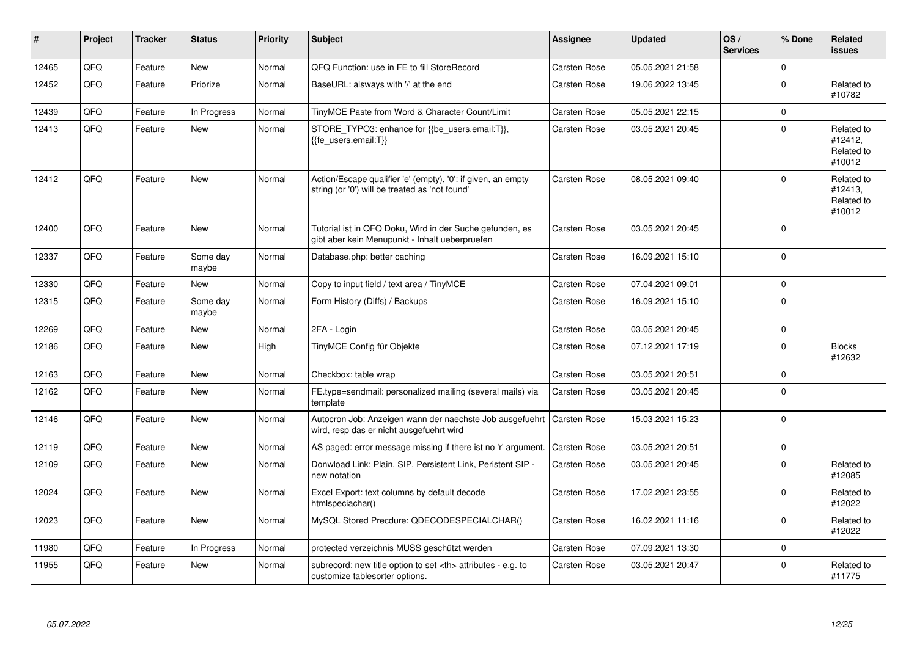| $\pmb{\#}$ | Project | <b>Tracker</b> | <b>Status</b>     | <b>Priority</b> | <b>Subject</b>                                                                                                 | Assignee                                               | <b>Updated</b>      | OS/<br><b>Services</b> | % Done      | Related<br><b>issues</b>                      |                      |
|------------|---------|----------------|-------------------|-----------------|----------------------------------------------------------------------------------------------------------------|--------------------------------------------------------|---------------------|------------------------|-------------|-----------------------------------------------|----------------------|
| 12465      | QFQ     | Feature        | <b>New</b>        | Normal          | QFQ Function: use in FE to fill StoreRecord                                                                    | Carsten Rose                                           | 05.05.2021 21:58    |                        | $\mathbf 0$ |                                               |                      |
| 12452      | QFQ     | Feature        | Priorize          | Normal          | BaseURL: alsways with '/' at the end                                                                           | Carsten Rose                                           | 19.06.2022 13:45    |                        | $\mathbf 0$ | Related to<br>#10782                          |                      |
| 12439      | QFQ     | Feature        | In Progress       | Normal          | TinyMCE Paste from Word & Character Count/Limit                                                                | Carsten Rose                                           | 05.05.2021 22:15    |                        | $\pmb{0}$   |                                               |                      |
| 12413      | QFQ     | Feature        | <b>New</b>        | Normal          | STORE TYPO3: enhance for {{be users.email:T}},<br>{{fe users.email:T}}                                         | Carsten Rose                                           | 03.05.2021 20:45    |                        | $\mathbf 0$ | Related to<br>#12412,<br>Related to<br>#10012 |                      |
| 12412      | QFQ     | Feature        | <b>New</b>        | Normal          | Action/Escape qualifier 'e' (empty), '0': if given, an empty<br>string (or '0') will be treated as 'not found' | <b>Carsten Rose</b>                                    | 08.05.2021 09:40    |                        | $\mathbf 0$ | Related to<br>#12413,<br>Related to<br>#10012 |                      |
| 12400      | QFQ     | Feature        | <b>New</b>        | Normal          | Tutorial ist in QFQ Doku, Wird in der Suche gefunden, es<br>gibt aber kein Menupunkt - Inhalt ueberpruefen     | <b>Carsten Rose</b>                                    | 03.05.2021 20:45    |                        | $\mathbf 0$ |                                               |                      |
| 12337      | QFQ     | Feature        | Some day<br>maybe | Normal          | Database.php: better caching                                                                                   | Carsten Rose                                           | 16.09.2021 15:10    |                        | $\mathbf 0$ |                                               |                      |
| 12330      | QFQ     | Feature        | New               | Normal          | Copy to input field / text area / TinyMCE                                                                      | Carsten Rose                                           | 07.04.2021 09:01    |                        | $\pmb{0}$   |                                               |                      |
| 12315      | QFQ     | Feature        | Some day<br>maybe | Normal          | Form History (Diffs) / Backups                                                                                 | <b>Carsten Rose</b>                                    | 16.09.2021 15:10    |                        | $\pmb{0}$   |                                               |                      |
| 12269      | QFQ     | Feature        | <b>New</b>        | Normal          | 2FA - Login                                                                                                    | Carsten Rose                                           | 03.05.2021 20:45    |                        | $\mathbf 0$ |                                               |                      |
| 12186      | QFQ     | Feature        | New               | High            | TinyMCE Config für Objekte                                                                                     | <b>Carsten Rose</b>                                    | 07.12.2021 17:19    |                        | $\pmb{0}$   | <b>Blocks</b><br>#12632                       |                      |
| 12163      | QFQ     | Feature        | <b>New</b>        | Normal          | Checkbox: table wrap                                                                                           | Carsten Rose                                           | 03.05.2021 20:51    |                        | $\mathbf 0$ |                                               |                      |
| 12162      | QFQ     | Feature        | <b>New</b>        | Normal          | FE.type=sendmail: personalized mailing (several mails) via<br>template                                         | Carsten Rose                                           | 03.05.2021 20:45    |                        | $\mathbf 0$ |                                               |                      |
| 12146      | QFQ     | Feature        | <b>New</b>        | Normal          | Autocron Job: Anzeigen wann der naechste Job ausgefuehrt<br>wird, resp das er nicht ausgefuehrt wird           | Carsten Rose                                           | 15.03.2021 15:23    |                        | $\pmb{0}$   |                                               |                      |
| 12119      | QFQ     | Feature        | <b>New</b>        | Normal          | AS paged: error message missing if there ist no 'r' argument.                                                  | <b>Carsten Rose</b>                                    | 03.05.2021 20:51    |                        | $\mathbf 0$ |                                               |                      |
| 12109      | QFQ     | Feature        | <b>New</b>        | Normal          | Donwload Link: Plain, SIP, Persistent Link, Peristent SIP -<br>new notation                                    | Carsten Rose                                           | 03.05.2021 20:45    |                        | $\mathbf 0$ | Related to<br>#12085                          |                      |
| 12024      | QFQ     | Feature        | <b>New</b>        | Normal          | Excel Export: text columns by default decode<br>htmlspeciachar()                                               | Carsten Rose                                           | 17.02.2021 23:55    |                        | $\mathbf 0$ | Related to<br>#12022                          |                      |
| 12023      | QFQ     | Feature        | <b>New</b>        | Normal          | MySQL Stored Precdure: QDECODESPECIALCHAR()                                                                    | Carsten Rose                                           | 16.02.2021 11:16    |                        | $\mathbf 0$ | Related to<br>#12022                          |                      |
| 11980      | QFQ     | Feature        | In Progress       | Normal          | protected verzeichnis MUSS geschützt werden                                                                    | <b>Carsten Rose</b>                                    | 07.09.2021 13:30    |                        | $\pmb{0}$   |                                               |                      |
| 11955      | QFQ     | Feature        | New               | Normal          | subrecord: new title option to set <th> attributes - e.g. to<br/>customize tablesorter options.</th>           | attributes - e.g. to<br>customize tablesorter options. | <b>Carsten Rose</b> | 03.05.2021 20:47       |             | $\pmb{0}$                                     | Related to<br>#11775 |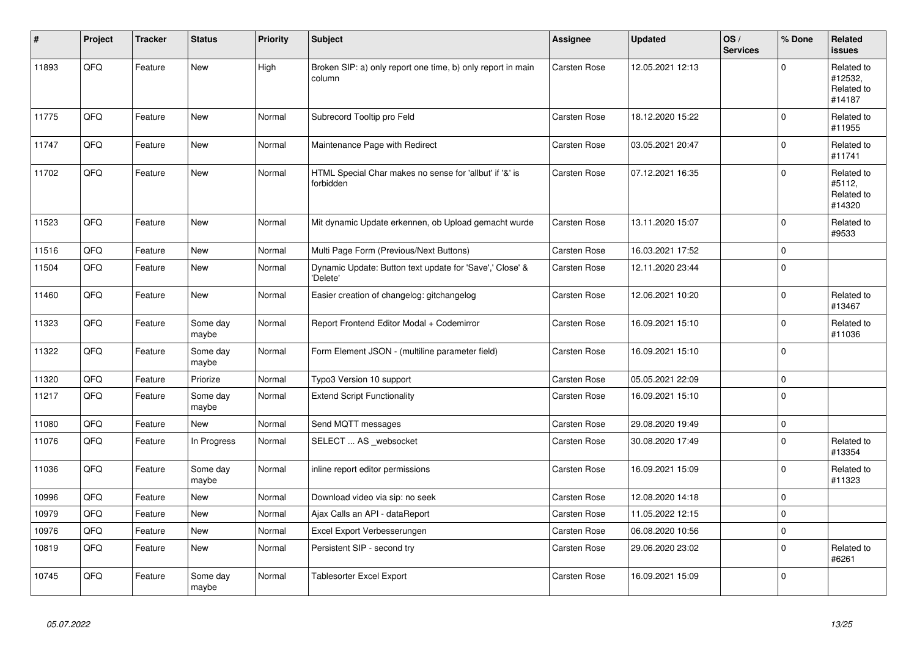| #     | Project | <b>Tracker</b> | <b>Status</b>     | <b>Priority</b> | <b>Subject</b>                                                        | <b>Assignee</b>     | <b>Updated</b>   | OS/<br><b>Services</b> | % Done      | Related<br><b>issues</b>                      |
|-------|---------|----------------|-------------------|-----------------|-----------------------------------------------------------------------|---------------------|------------------|------------------------|-------------|-----------------------------------------------|
| 11893 | QFQ     | Feature        | <b>New</b>        | High            | Broken SIP: a) only report one time, b) only report in main<br>column | Carsten Rose        | 12.05.2021 12:13 |                        | $\Omega$    | Related to<br>#12532,<br>Related to<br>#14187 |
| 11775 | QFQ     | Feature        | <b>New</b>        | Normal          | Subrecord Tooltip pro Feld                                            | <b>Carsten Rose</b> | 18.12.2020 15:22 |                        | $\Omega$    | Related to<br>#11955                          |
| 11747 | QFQ     | Feature        | <b>New</b>        | Normal          | Maintenance Page with Redirect                                        | Carsten Rose        | 03.05.2021 20:47 |                        | $\Omega$    | Related to<br>#11741                          |
| 11702 | QFQ     | Feature        | New               | Normal          | HTML Special Char makes no sense for 'allbut' if '&' is<br>forbidden  | <b>Carsten Rose</b> | 07.12.2021 16:35 |                        | $\Omega$    | Related to<br>#5112,<br>Related to<br>#14320  |
| 11523 | QFQ     | Feature        | <b>New</b>        | Normal          | Mit dynamic Update erkennen, ob Upload gemacht wurde                  | Carsten Rose        | 13.11.2020 15:07 |                        | $\Omega$    | Related to<br>#9533                           |
| 11516 | QFQ     | Feature        | <b>New</b>        | Normal          | Multi Page Form (Previous/Next Buttons)                               | Carsten Rose        | 16.03.2021 17:52 |                        | $\mathbf 0$ |                                               |
| 11504 | QFQ     | Feature        | <b>New</b>        | Normal          | Dynamic Update: Button text update for 'Save',' Close' &<br>'Delete'  | Carsten Rose        | 12.11.2020 23:44 |                        | $\Omega$    |                                               |
| 11460 | QFQ     | Feature        | <b>New</b>        | Normal          | Easier creation of changelog: gitchangelog                            | Carsten Rose        | 12.06.2021 10:20 |                        | $\Omega$    | Related to<br>#13467                          |
| 11323 | QFQ     | Feature        | Some day<br>maybe | Normal          | Report Frontend Editor Modal + Codemirror                             | <b>Carsten Rose</b> | 16.09.2021 15:10 |                        | $\Omega$    | Related to<br>#11036                          |
| 11322 | QFQ     | Feature        | Some day<br>maybe | Normal          | Form Element JSON - (multiline parameter field)                       | <b>Carsten Rose</b> | 16.09.2021 15:10 |                        | $\Omega$    |                                               |
| 11320 | QFQ     | Feature        | Priorize          | Normal          | Typo3 Version 10 support                                              | Carsten Rose        | 05.05.2021 22:09 |                        | $\Omega$    |                                               |
| 11217 | QFQ     | Feature        | Some day<br>maybe | Normal          | <b>Extend Script Functionality</b>                                    | <b>Carsten Rose</b> | 16.09.2021 15:10 |                        | $\Omega$    |                                               |
| 11080 | QFQ     | Feature        | New               | Normal          | Send MQTT messages                                                    | Carsten Rose        | 29.08.2020 19:49 |                        | $\pmb{0}$   |                                               |
| 11076 | QFQ     | Feature        | In Progress       | Normal          | SELECT  AS _websocket                                                 | <b>Carsten Rose</b> | 30.08.2020 17:49 |                        | $\Omega$    | Related to<br>#13354                          |
| 11036 | QFQ     | Feature        | Some day<br>maybe | Normal          | inline report editor permissions                                      | Carsten Rose        | 16.09.2021 15:09 |                        | $\Omega$    | Related to<br>#11323                          |
| 10996 | QFQ     | Feature        | <b>New</b>        | Normal          | Download video via sip: no seek                                       | Carsten Rose        | 12.08.2020 14:18 |                        | $\Omega$    |                                               |
| 10979 | QFQ     | Feature        | New               | Normal          | Ajax Calls an API - dataReport                                        | <b>Carsten Rose</b> | 11.05.2022 12:15 |                        | $\mathbf 0$ |                                               |
| 10976 | QFQ     | Feature        | New               | Normal          | Excel Export Verbesserungen                                           | Carsten Rose        | 06.08.2020 10:56 |                        | $\mathbf 0$ |                                               |
| 10819 | QFQ     | Feature        | <b>New</b>        | Normal          | Persistent SIP - second try                                           | Carsten Rose        | 29.06.2020 23:02 |                        | $\Omega$    | Related to<br>#6261                           |
| 10745 | QFQ     | Feature        | Some day<br>maybe | Normal          | Tablesorter Excel Export                                              | Carsten Rose        | 16.09.2021 15:09 |                        | $\Omega$    |                                               |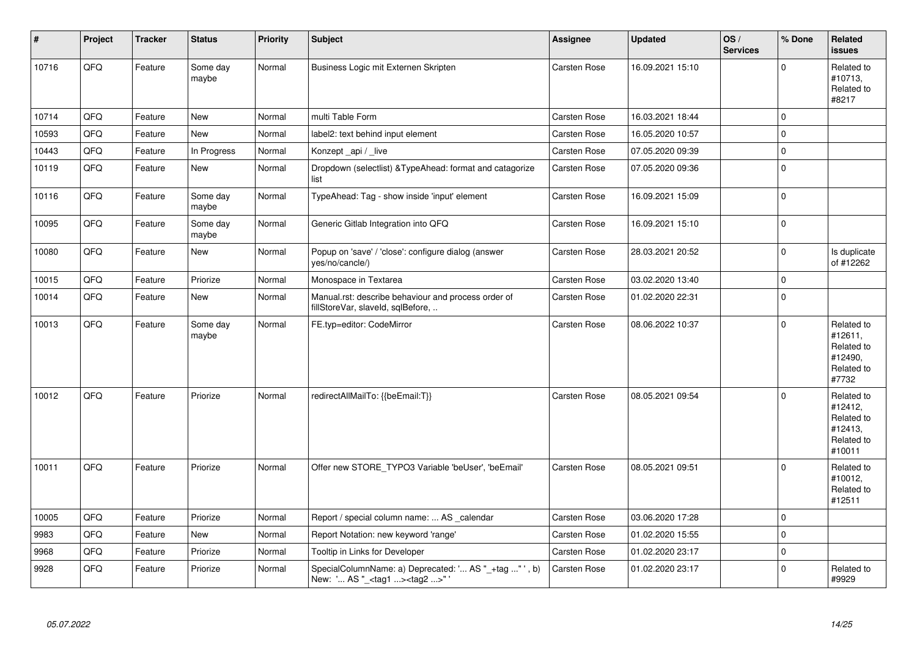| $\vert$ # | Project | <b>Tracker</b> | <b>Status</b>     | <b>Priority</b> | <b>Subject</b>                                                                                      | Assignee            | <b>Updated</b>   | OS/<br><b>Services</b> | % Done      | Related<br><b>issues</b>                                               |
|-----------|---------|----------------|-------------------|-----------------|-----------------------------------------------------------------------------------------------------|---------------------|------------------|------------------------|-------------|------------------------------------------------------------------------|
| 10716     | QFQ     | Feature        | Some day<br>maybe | Normal          | Business Logic mit Externen Skripten                                                                | Carsten Rose        | 16.09.2021 15:10 |                        | $\Omega$    | Related to<br>#10713,<br>Related to<br>#8217                           |
| 10714     | QFQ     | Feature        | <b>New</b>        | Normal          | multi Table Form                                                                                    | Carsten Rose        | 16.03.2021 18:44 |                        | $\mathbf 0$ |                                                                        |
| 10593     | QFQ     | Feature        | New               | Normal          | label2: text behind input element                                                                   | Carsten Rose        | 16.05.2020 10:57 |                        | $\mathbf 0$ |                                                                        |
| 10443     | QFQ     | Feature        | In Progress       | Normal          | Konzept api / live                                                                                  | Carsten Rose        | 07.05.2020 09:39 |                        | $\pmb{0}$   |                                                                        |
| 10119     | QFQ     | Feature        | New               | Normal          | Dropdown (selectlist) & TypeAhead: format and catagorize<br>list                                    | Carsten Rose        | 07.05.2020 09:36 |                        | $\mathbf 0$ |                                                                        |
| 10116     | QFQ     | Feature        | Some day<br>maybe | Normal          | TypeAhead: Tag - show inside 'input' element                                                        | Carsten Rose        | 16.09.2021 15:09 |                        | $\pmb{0}$   |                                                                        |
| 10095     | QFQ     | Feature        | Some day<br>maybe | Normal          | Generic Gitlab Integration into QFQ                                                                 | Carsten Rose        | 16.09.2021 15:10 |                        | $\mathbf 0$ |                                                                        |
| 10080     | QFQ     | Feature        | New               | Normal          | Popup on 'save' / 'close': configure dialog (answer<br>yes/no/cancle/)                              | Carsten Rose        | 28.03.2021 20:52 |                        | $\mathbf 0$ | Is duplicate<br>of #12262                                              |
| 10015     | QFO     | Feature        | Priorize          | Normal          | Monospace in Textarea                                                                               | Carsten Rose        | 03.02.2020 13:40 |                        | $\pmb{0}$   |                                                                        |
| 10014     | QFQ     | Feature        | New               | Normal          | Manual.rst: describe behaviour and process order of<br>fillStoreVar, slaveld, sqlBefore,            | Carsten Rose        | 01.02.2020 22:31 |                        | $\pmb{0}$   |                                                                        |
| 10013     | QFO     | Feature        | Some day<br>maybe | Normal          | FE.typ=editor: CodeMirror                                                                           | Carsten Rose        | 08.06.2022 10:37 |                        | $\mathbf 0$ | Related to<br>#12611,<br>Related to<br>#12490,<br>Related to<br>#7732  |
| 10012     | QFQ     | Feature        | Priorize          | Normal          | redirectAllMailTo: {{beEmail:T}}                                                                    | Carsten Rose        | 08.05.2021 09:54 |                        | $\Omega$    | Related to<br>#12412,<br>Related to<br>#12413,<br>Related to<br>#10011 |
| 10011     | QFQ     | Feature        | Priorize          | Normal          | Offer new STORE_TYPO3 Variable 'beUser', 'beEmail'                                                  | Carsten Rose        | 08.05.2021 09:51 |                        | $\Omega$    | Related to<br>#10012,<br>Related to<br>#12511                          |
| 10005     | QFQ     | Feature        | Priorize          | Normal          | Report / special column name:  AS _calendar                                                         | Carsten Rose        | 03.06.2020 17:28 |                        | $\mathbf 0$ |                                                                        |
| 9983      | QFQ     | Feature        | New               | Normal          | Report Notation: new keyword 'range'                                                                | Carsten Rose        | 01.02.2020 15:55 |                        | $\mathbf 0$ |                                                                        |
| 9968      | QFQ     | Feature        | Priorize          | Normal          | Tooltip in Links for Developer                                                                      | <b>Carsten Rose</b> | 01.02.2020 23:17 |                        | $\mathbf 0$ |                                                                        |
| 9928      | QFQ     | Feature        | Priorize          | Normal          | SpecialColumnName: a) Deprecated: ' AS "_+tag " ', b)<br>New: ' AS "_ <tag1><tag2>" '</tag2></tag1> | Carsten Rose        | 01.02.2020 23:17 |                        | $\Omega$    | Related to<br>#9929                                                    |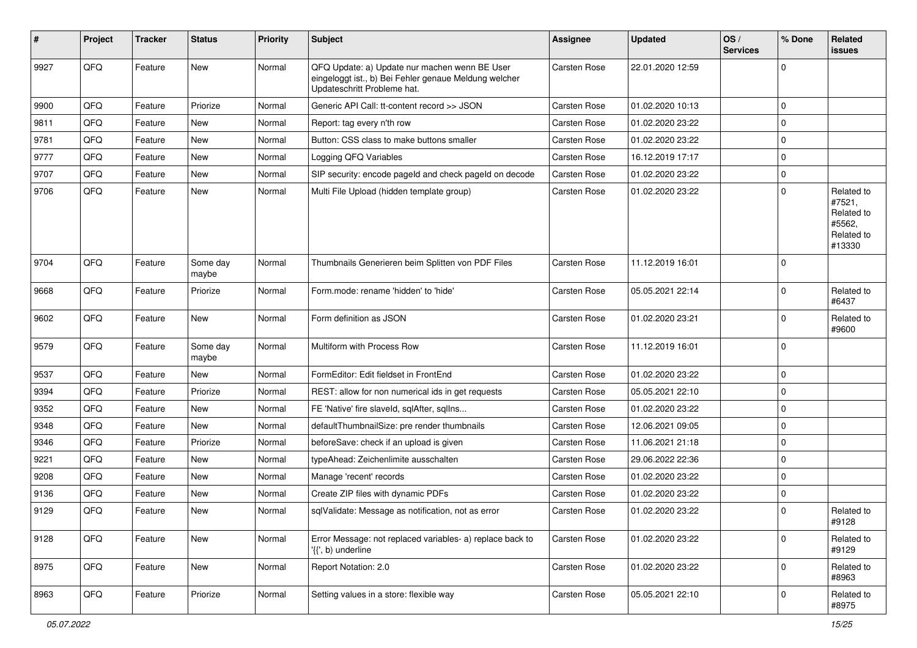| ∦    | Project | <b>Tracker</b> | <b>Status</b>     | <b>Priority</b> | Subject                                                                                                                               | <b>Assignee</b>     | <b>Updated</b>   | OS/<br><b>Services</b> | % Done      | Related<br><b>issues</b>                                             |
|------|---------|----------------|-------------------|-----------------|---------------------------------------------------------------------------------------------------------------------------------------|---------------------|------------------|------------------------|-------------|----------------------------------------------------------------------|
| 9927 | QFQ     | Feature        | <b>New</b>        | Normal          | QFQ Update: a) Update nur machen wenn BE User<br>eingeloggt ist., b) Bei Fehler genaue Meldung welcher<br>Updateschritt Probleme hat. | Carsten Rose        | 22.01.2020 12:59 |                        | $\pmb{0}$   |                                                                      |
| 9900 | QFQ     | Feature        | Priorize          | Normal          | Generic API Call: tt-content record >> JSON                                                                                           | <b>Carsten Rose</b> | 01.02.2020 10:13 |                        | $\mathbf 0$ |                                                                      |
| 9811 | QFQ     | Feature        | New               | Normal          | Report: tag every n'th row                                                                                                            | Carsten Rose        | 01.02.2020 23:22 |                        | $\pmb{0}$   |                                                                      |
| 9781 | QFQ     | Feature        | <b>New</b>        | Normal          | Button: CSS class to make buttons smaller                                                                                             | Carsten Rose        | 01.02.2020 23:22 |                        | $\mathbf 0$ |                                                                      |
| 9777 | QFQ     | Feature        | New               | Normal          | Logging QFQ Variables                                                                                                                 | <b>Carsten Rose</b> | 16.12.2019 17:17 |                        | $\mathbf 0$ |                                                                      |
| 9707 | QFQ     | Feature        | New               | Normal          | SIP security: encode pageld and check pageld on decode                                                                                | Carsten Rose        | 01.02.2020 23:22 |                        | $\mathbf 0$ |                                                                      |
| 9706 | QFQ     | Feature        | <b>New</b>        | Normal          | Multi File Upload (hidden template group)                                                                                             | Carsten Rose        | 01.02.2020 23:22 |                        | $\mathbf 0$ | Related to<br>#7521,<br>Related to<br>#5562,<br>Related to<br>#13330 |
| 9704 | QFQ     | Feature        | Some day<br>maybe | Normal          | Thumbnails Generieren beim Splitten von PDF Files                                                                                     | Carsten Rose        | 11.12.2019 16:01 |                        | $\mathbf 0$ |                                                                      |
| 9668 | QFQ     | Feature        | Priorize          | Normal          | Form.mode: rename 'hidden' to 'hide'                                                                                                  | Carsten Rose        | 05.05.2021 22:14 |                        | $\mathbf 0$ | Related to<br>#6437                                                  |
| 9602 | QFQ     | Feature        | New               | Normal          | Form definition as JSON                                                                                                               | Carsten Rose        | 01.02.2020 23:21 |                        | $\mathbf 0$ | Related to<br>#9600                                                  |
| 9579 | QFQ     | Feature        | Some day<br>maybe | Normal          | Multiform with Process Row                                                                                                            | Carsten Rose        | 11.12.2019 16:01 |                        | $\mathbf 0$ |                                                                      |
| 9537 | QFQ     | Feature        | <b>New</b>        | Normal          | FormEditor: Edit fieldset in FrontEnd                                                                                                 | Carsten Rose        | 01.02.2020 23:22 |                        | $\mathbf 0$ |                                                                      |
| 9394 | QFQ     | Feature        | Priorize          | Normal          | REST: allow for non numerical ids in get requests                                                                                     | <b>Carsten Rose</b> | 05.05.2021 22:10 |                        | $\mathbf 0$ |                                                                      |
| 9352 | QFQ     | Feature        | New               | Normal          | FE 'Native' fire slaveld, sqlAfter, sqlIns                                                                                            | Carsten Rose        | 01.02.2020 23:22 |                        | $\mathbf 0$ |                                                                      |
| 9348 | QFQ     | Feature        | <b>New</b>        | Normal          | defaultThumbnailSize: pre render thumbnails                                                                                           | Carsten Rose        | 12.06.2021 09:05 |                        | $\mathbf 0$ |                                                                      |
| 9346 | QFQ     | Feature        | Priorize          | Normal          | beforeSave: check if an upload is given                                                                                               | Carsten Rose        | 11.06.2021 21:18 |                        | $\mathbf 0$ |                                                                      |
| 9221 | QFQ     | Feature        | New               | Normal          | typeAhead: Zeichenlimite ausschalten                                                                                                  | Carsten Rose        | 29.06.2022 22:36 |                        | $\mathbf 0$ |                                                                      |
| 9208 | QFQ     | Feature        | <b>New</b>        | Normal          | Manage 'recent' records                                                                                                               | Carsten Rose        | 01.02.2020 23:22 |                        | $\mathbf 0$ |                                                                      |
| 9136 | QFQ     | Feature        | New               | Normal          | Create ZIP files with dynamic PDFs                                                                                                    | Carsten Rose        | 01.02.2020 23:22 |                        | $\mathbf 0$ |                                                                      |
| 9129 | QFQ     | Feature        | New               | Normal          | sqlValidate: Message as notification, not as error                                                                                    | Carsten Rose        | 01.02.2020 23:22 |                        | $\mathbf 0$ | Related to<br>#9128                                                  |
| 9128 | QFO     | Feature        | New               | Normal          | Error Message: not replaced variables- a) replace back to<br>'{{', b) underline                                                       | Carsten Rose        | 01.02.2020 23:22 |                        | $\mathbf 0$ | Related to<br>#9129                                                  |
| 8975 | QFQ     | Feature        | New               | Normal          | Report Notation: 2.0                                                                                                                  | Carsten Rose        | 01.02.2020 23:22 |                        | 0           | Related to<br>#8963                                                  |
| 8963 | QFQ     | Feature        | Priorize          | Normal          | Setting values in a store: flexible way                                                                                               | Carsten Rose        | 05.05.2021 22:10 |                        | $\mathsf 0$ | Related to<br>#8975                                                  |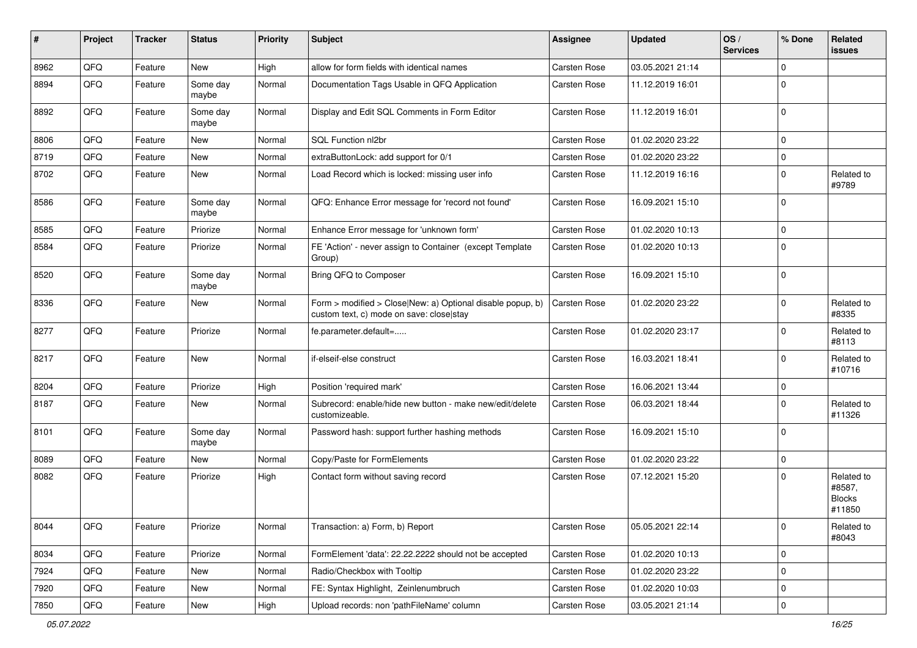| $\pmb{\#}$ | Project | <b>Tracker</b> | <b>Status</b>     | <b>Priority</b> | Subject                                                                                                | <b>Assignee</b> | <b>Updated</b>   | OS/<br><b>Services</b> | % Done      | Related<br><b>issues</b>                        |
|------------|---------|----------------|-------------------|-----------------|--------------------------------------------------------------------------------------------------------|-----------------|------------------|------------------------|-------------|-------------------------------------------------|
| 8962       | QFQ     | Feature        | New               | High            | allow for form fields with identical names                                                             | Carsten Rose    | 03.05.2021 21:14 |                        | $\Omega$    |                                                 |
| 8894       | QFQ     | Feature        | Some day<br>maybe | Normal          | Documentation Tags Usable in QFQ Application                                                           | Carsten Rose    | 11.12.2019 16:01 |                        | $\mathbf 0$ |                                                 |
| 8892       | QFQ     | Feature        | Some day<br>maybe | Normal          | Display and Edit SQL Comments in Form Editor                                                           | Carsten Rose    | 11.12.2019 16:01 |                        | $\mathbf 0$ |                                                 |
| 8806       | QFQ     | Feature        | New               | Normal          | SQL Function nl2br                                                                                     | Carsten Rose    | 01.02.2020 23:22 |                        | $\mathbf 0$ |                                                 |
| 8719       | QFQ     | Feature        | New               | Normal          | extraButtonLock: add support for 0/1                                                                   | Carsten Rose    | 01.02.2020 23:22 |                        | $\mathbf 0$ |                                                 |
| 8702       | QFQ     | Feature        | New               | Normal          | Load Record which is locked: missing user info                                                         | Carsten Rose    | 11.12.2019 16:16 |                        | $\Omega$    | Related to<br>#9789                             |
| 8586       | QFQ     | Feature        | Some day<br>maybe | Normal          | QFQ: Enhance Error message for 'record not found'                                                      | Carsten Rose    | 16.09.2021 15:10 |                        | l 0         |                                                 |
| 8585       | QFQ     | Feature        | Priorize          | Normal          | Enhance Error message for 'unknown form'                                                               | Carsten Rose    | 01.02.2020 10:13 |                        | $\mathbf 0$ |                                                 |
| 8584       | QFQ     | Feature        | Priorize          | Normal          | FE 'Action' - never assign to Container (except Template<br>Group)                                     | Carsten Rose    | 01.02.2020 10:13 |                        | $\Omega$    |                                                 |
| 8520       | QFQ     | Feature        | Some day<br>maybe | Normal          | Bring QFQ to Composer                                                                                  | Carsten Rose    | 16.09.2021 15:10 |                        | $\Omega$    |                                                 |
| 8336       | QFQ     | Feature        | New               | Normal          | Form > modified > Close New: a) Optional disable popup, b)<br>custom text, c) mode on save: close stay | Carsten Rose    | 01.02.2020 23:22 |                        | $\mathbf 0$ | Related to<br>#8335                             |
| 8277       | QFQ     | Feature        | Priorize          | Normal          | fe.parameter.default=                                                                                  | Carsten Rose    | 01.02.2020 23:17 |                        | $\Omega$    | Related to<br>#8113                             |
| 8217       | QFQ     | Feature        | New               | Normal          | if-elseif-else construct                                                                               | Carsten Rose    | 16.03.2021 18:41 |                        | $\Omega$    | Related to<br>#10716                            |
| 8204       | QFQ     | Feature        | Priorize          | High            | Position 'required mark'                                                                               | Carsten Rose    | 16.06.2021 13:44 |                        | $\mathbf 0$ |                                                 |
| 8187       | QFQ     | Feature        | New               | Normal          | Subrecord: enable/hide new button - make new/edit/delete<br>customizeable.                             | Carsten Rose    | 06.03.2021 18:44 |                        | $\Omega$    | Related to<br>#11326                            |
| 8101       | QFQ     | Feature        | Some day<br>maybe | Normal          | Password hash: support further hashing methods                                                         | Carsten Rose    | 16.09.2021 15:10 |                        | $\Omega$    |                                                 |
| 8089       | QFQ     | Feature        | New               | Normal          | Copy/Paste for FormElements                                                                            | Carsten Rose    | 01.02.2020 23:22 |                        | 0           |                                                 |
| 8082       | QFQ     | Feature        | Priorize          | High            | Contact form without saving record                                                                     | Carsten Rose    | 07.12.2021 15:20 |                        | $\Omega$    | Related to<br>#8587,<br><b>Blocks</b><br>#11850 |
| 8044       | QFQ     | Feature        | Priorize          | Normal          | Transaction: a) Form, b) Report                                                                        | Carsten Rose    | 05.05.2021 22:14 |                        | l 0         | Related to<br>#8043                             |
| 8034       | QFQ     | Feature        | Priorize          | Normal          | FormElement 'data': 22.22.2222 should not be accepted                                                  | Carsten Rose    | 01.02.2020 10:13 |                        | l 0         |                                                 |
| 7924       | QFQ     | Feature        | New               | Normal          | Radio/Checkbox with Tooltip                                                                            | Carsten Rose    | 01.02.2020 23:22 |                        | $\mathbf 0$ |                                                 |
| 7920       | QFQ     | Feature        | New               | Normal          | FE: Syntax Highlight, Zeinlenumbruch                                                                   | Carsten Rose    | 01.02.2020 10:03 |                        | $\mathbf 0$ |                                                 |
| 7850       | QFQ     | Feature        | New               | High            | Upload records: non 'pathFileName' column                                                              | Carsten Rose    | 03.05.2021 21:14 |                        | $\mathbf 0$ |                                                 |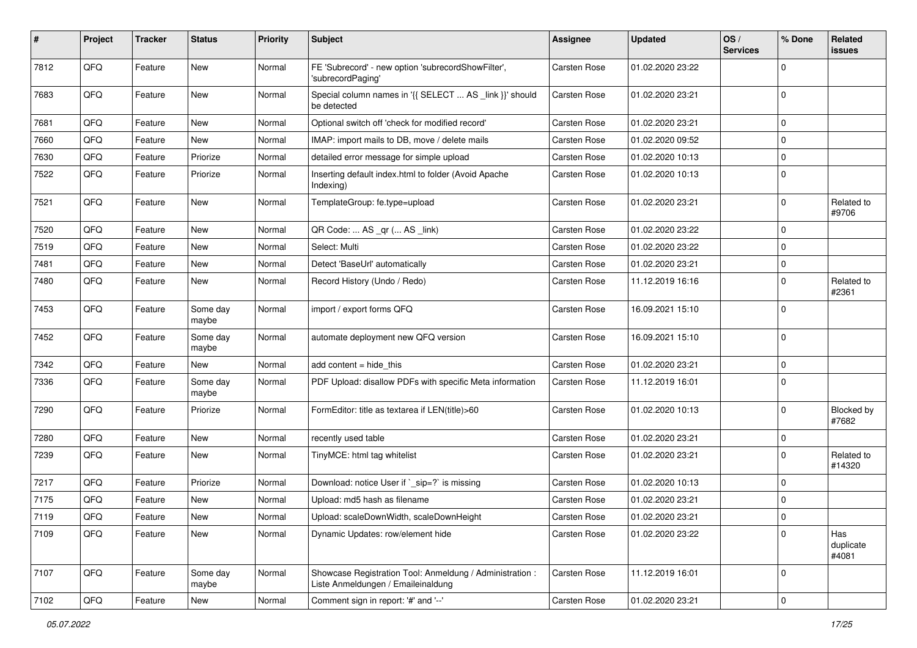| #    | Project | <b>Tracker</b> | <b>Status</b>     | <b>Priority</b> | <b>Subject</b>                                                                                 | Assignee     | <b>Updated</b>   | OS/<br><b>Services</b> | % Done      | Related<br>issues         |
|------|---------|----------------|-------------------|-----------------|------------------------------------------------------------------------------------------------|--------------|------------------|------------------------|-------------|---------------------------|
| 7812 | QFQ     | Feature        | <b>New</b>        | Normal          | FE 'Subrecord' - new option 'subrecordShowFilter',<br>'subrecordPaging'                        | Carsten Rose | 01.02.2020 23:22 |                        | 0           |                           |
| 7683 | QFQ     | Feature        | New               | Normal          | Special column names in '{{ SELECT  AS _link }}' should<br>be detected                         | Carsten Rose | 01.02.2020 23:21 |                        | $\Omega$    |                           |
| 7681 | QFQ     | Feature        | <b>New</b>        | Normal          | Optional switch off 'check for modified record'                                                | Carsten Rose | 01.02.2020 23:21 |                        | 0           |                           |
| 7660 | QFQ     | Feature        | New               | Normal          | IMAP: import mails to DB, move / delete mails                                                  | Carsten Rose | 01.02.2020 09:52 |                        | $\Omega$    |                           |
| 7630 | QFQ     | Feature        | Priorize          | Normal          | detailed error message for simple upload                                                       | Carsten Rose | 01.02.2020 10:13 |                        | $\mathbf 0$ |                           |
| 7522 | QFQ     | Feature        | Priorize          | Normal          | Inserting default index.html to folder (Avoid Apache<br>Indexing)                              | Carsten Rose | 01.02.2020 10:13 |                        | $\Omega$    |                           |
| 7521 | QFQ     | Feature        | New               | Normal          | TemplateGroup: fe.type=upload                                                                  | Carsten Rose | 01.02.2020 23:21 |                        | $\mathbf 0$ | Related to<br>#9706       |
| 7520 | QFQ     | Feature        | <b>New</b>        | Normal          | QR Code:  AS _qr ( AS _link)                                                                   | Carsten Rose | 01.02.2020 23:22 |                        | $\mathbf 0$ |                           |
| 7519 | QFQ     | Feature        | New               | Normal          | Select: Multi                                                                                  | Carsten Rose | 01.02.2020 23:22 |                        | 0           |                           |
| 7481 | QFQ     | Feature        | New               | Normal          | Detect 'BaseUrl' automatically                                                                 | Carsten Rose | 01.02.2020 23:21 |                        | $\mathbf 0$ |                           |
| 7480 | QFQ     | Feature        | New               | Normal          | Record History (Undo / Redo)                                                                   | Carsten Rose | 11.12.2019 16:16 |                        | $\Omega$    | Related to<br>#2361       |
| 7453 | QFQ     | Feature        | Some day<br>maybe | Normal          | import / export forms QFQ                                                                      | Carsten Rose | 16.09.2021 15:10 |                        | $\Omega$    |                           |
| 7452 | QFQ     | Feature        | Some day<br>maybe | Normal          | automate deployment new QFQ version                                                            | Carsten Rose | 16.09.2021 15:10 |                        | $\Omega$    |                           |
| 7342 | QFQ     | Feature        | New               | Normal          | add content $=$ hide this                                                                      | Carsten Rose | 01.02.2020 23:21 |                        | $\mathbf 0$ |                           |
| 7336 | QFQ     | Feature        | Some day<br>maybe | Normal          | PDF Upload: disallow PDFs with specific Meta information                                       | Carsten Rose | 11.12.2019 16:01 |                        | $\mathbf 0$ |                           |
| 7290 | QFQ     | Feature        | Priorize          | Normal          | FormEditor: title as textarea if LEN(title)>60                                                 | Carsten Rose | 01.02.2020 10:13 |                        | $\Omega$    | Blocked by<br>#7682       |
| 7280 | QFQ     | Feature        | <b>New</b>        | Normal          | recently used table                                                                            | Carsten Rose | 01.02.2020 23:21 |                        | $\mathbf 0$ |                           |
| 7239 | QFQ     | Feature        | New               | Normal          | TinyMCE: html tag whitelist                                                                    | Carsten Rose | 01.02.2020 23:21 |                        | $\Omega$    | Related to<br>#14320      |
| 7217 | QFQ     | Feature        | Priorize          | Normal          | Download: notice User if `_sip=?` is missing                                                   | Carsten Rose | 01.02.2020 10:13 |                        | $\Omega$    |                           |
| 7175 | QFQ     | Feature        | New               | Normal          | Upload: md5 hash as filename                                                                   | Carsten Rose | 01.02.2020 23:21 |                        | $\mathbf 0$ |                           |
| 7119 | QFQ     | Feature        | New               | Normal          | Upload: scaleDownWidth, scaleDownHeight                                                        | Carsten Rose | 01.02.2020 23:21 |                        | $\mathbf 0$ |                           |
| 7109 | QFQ     | Feature        | New               | Normal          | Dynamic Updates: row/element hide                                                              | Carsten Rose | 01.02.2020 23:22 |                        | $\mathbf 0$ | Has<br>duplicate<br>#4081 |
| 7107 | QFQ     | Feature        | Some day<br>maybe | Normal          | Showcase Registration Tool: Anmeldung / Administration :<br>Liste Anmeldungen / Emaileinaldung | Carsten Rose | 11.12.2019 16:01 |                        | $\mathbf 0$ |                           |
| 7102 | QFQ     | Feature        | New               | Normal          | Comment sign in report: '#' and '--'                                                           | Carsten Rose | 01.02.2020 23:21 |                        | 0           |                           |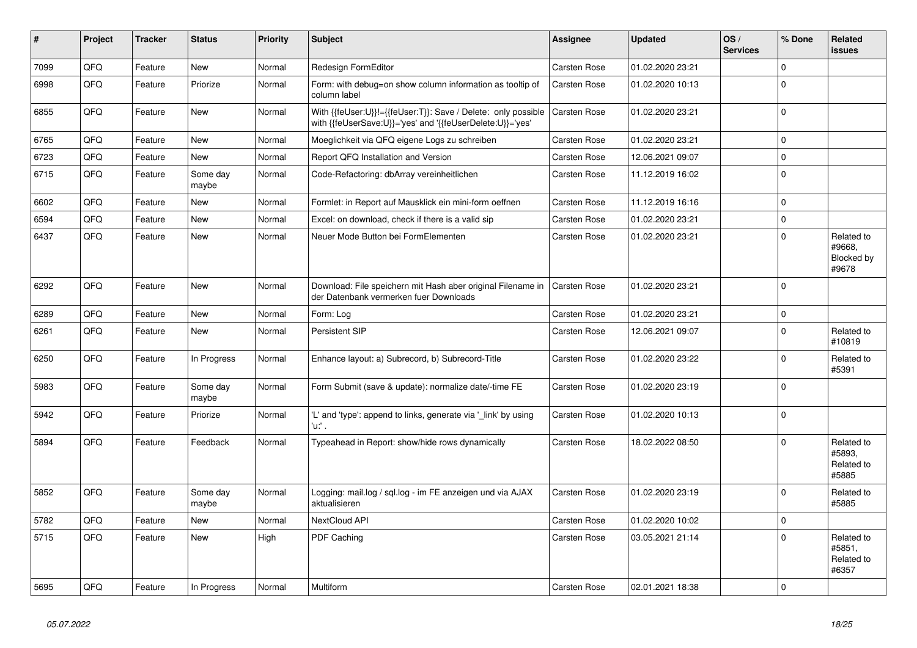| $\vert$ # | Project | <b>Tracker</b> | <b>Status</b>     | <b>Priority</b> | <b>Subject</b>                                                                                                             | Assignee            | <b>Updated</b>   | OS/<br><b>Services</b> | % Done      | Related<br><b>issues</b>                    |
|-----------|---------|----------------|-------------------|-----------------|----------------------------------------------------------------------------------------------------------------------------|---------------------|------------------|------------------------|-------------|---------------------------------------------|
| 7099      | QFQ     | Feature        | <b>New</b>        | Normal          | Redesign FormEditor                                                                                                        | Carsten Rose        | 01.02.2020 23:21 |                        | $\mathbf 0$ |                                             |
| 6998      | QFQ     | Feature        | Priorize          | Normal          | Form: with debug=on show column information as tooltip of<br>column label                                                  | Carsten Rose        | 01.02.2020 10:13 |                        | $\mathbf 0$ |                                             |
| 6855      | QFQ     | Feature        | <b>New</b>        | Normal          | With {{feUser:U}}!={{feUser:T}}: Save / Delete: only possible<br>with {{feUserSave:U}}='yes' and '{{feUserDelete:U}}='yes' | Carsten Rose        | 01.02.2020 23:21 |                        | $\mathbf 0$ |                                             |
| 6765      | QFQ     | Feature        | <b>New</b>        | Normal          | Moeglichkeit via QFQ eigene Logs zu schreiben                                                                              | Carsten Rose        | 01.02.2020 23:21 |                        | $\mathbf 0$ |                                             |
| 6723      | QFQ     | Feature        | <b>New</b>        | Normal          | Report QFQ Installation and Version                                                                                        | Carsten Rose        | 12.06.2021 09:07 |                        | $\mathsf 0$ |                                             |
| 6715      | QFQ     | Feature        | Some day<br>maybe | Normal          | Code-Refactoring: dbArray vereinheitlichen                                                                                 | Carsten Rose        | 11.12.2019 16:02 |                        | $\Omega$    |                                             |
| 6602      | QFQ     | Feature        | New               | Normal          | Formlet: in Report auf Mausklick ein mini-form oeffnen                                                                     | Carsten Rose        | 11.12.2019 16:16 |                        | $\mathsf 0$ |                                             |
| 6594      | QFQ     | Feature        | <b>New</b>        | Normal          | Excel: on download, check if there is a valid sip                                                                          | Carsten Rose        | 01.02.2020 23:21 |                        | $\mathbf 0$ |                                             |
| 6437      | QFQ     | Feature        | <b>New</b>        | Normal          | Neuer Mode Button bei FormElementen                                                                                        | Carsten Rose        | 01.02.2020 23:21 |                        | $\mathbf 0$ | Related to<br>#9668,<br>Blocked by<br>#9678 |
| 6292      | QFQ     | Feature        | New               | Normal          | Download: File speichern mit Hash aber original Filename in<br>der Datenbank vermerken fuer Downloads                      | Carsten Rose        | 01.02.2020 23:21 |                        | $\Omega$    |                                             |
| 6289      | QFQ     | Feature        | <b>New</b>        | Normal          | Form: Log                                                                                                                  | Carsten Rose        | 01.02.2020 23:21 |                        | $\mathsf 0$ |                                             |
| 6261      | QFQ     | Feature        | <b>New</b>        | Normal          | Persistent SIP                                                                                                             | <b>Carsten Rose</b> | 12.06.2021 09:07 |                        | $\mathbf 0$ | Related to<br>#10819                        |
| 6250      | QFQ     | Feature        | In Progress       | Normal          | Enhance layout: a) Subrecord, b) Subrecord-Title                                                                           | Carsten Rose        | 01.02.2020 23:22 |                        | $\mathbf 0$ | Related to<br>#5391                         |
| 5983      | QFQ     | Feature        | Some day<br>maybe | Normal          | Form Submit (save & update): normalize date/-time FE                                                                       | Carsten Rose        | 01.02.2020 23:19 |                        | $\mathbf 0$ |                                             |
| 5942      | QFQ     | Feature        | Priorize          | Normal          | 'L' and 'type': append to links, generate via 'link' by using<br>'u:' .                                                    | Carsten Rose        | 01.02.2020 10:13 |                        | $\mathbf 0$ |                                             |
| 5894      | QFQ     | Feature        | Feedback          | Normal          | Typeahead in Report: show/hide rows dynamically                                                                            | Carsten Rose        | 18.02.2022 08:50 |                        | $\Omega$    | Related to<br>#5893,<br>Related to<br>#5885 |
| 5852      | QFQ     | Feature        | Some day<br>maybe | Normal          | Logging: mail.log / sql.log - im FE anzeigen und via AJAX<br>aktualisieren                                                 | Carsten Rose        | 01.02.2020 23:19 |                        | $\mathbf 0$ | Related to<br>#5885                         |
| 5782      | QFQ     | Feature        | New               | Normal          | NextCloud API                                                                                                              | Carsten Rose        | 01.02.2020 10:02 |                        | $\pmb{0}$   |                                             |
| 5715      | QFQ     | Feature        | New               | High            | PDF Caching                                                                                                                | Carsten Rose        | 03.05.2021 21:14 |                        | $\Omega$    | Related to<br>#5851,<br>Related to<br>#6357 |
| 5695      | QFQ     | Feature        | In Progress       | Normal          | Multiform                                                                                                                  | <b>Carsten Rose</b> | 02.01.2021 18:38 |                        | $\mathbf 0$ |                                             |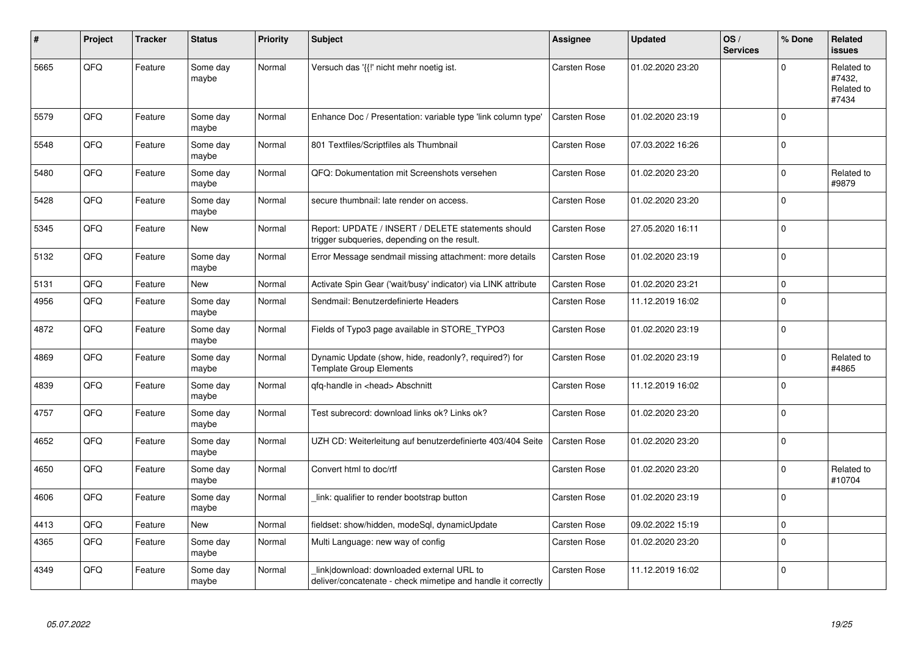| #    | Project | <b>Tracker</b> | <b>Status</b>     | <b>Priority</b> | <b>Subject</b>                                                                                            | Assignee            | <b>Updated</b>   | OS/<br><b>Services</b> | % Done      | Related<br><b>issues</b>                    |
|------|---------|----------------|-------------------|-----------------|-----------------------------------------------------------------------------------------------------------|---------------------|------------------|------------------------|-------------|---------------------------------------------|
| 5665 | QFQ     | Feature        | Some day<br>maybe | Normal          | Versuch das '{{!' nicht mehr noetig ist.                                                                  | <b>Carsten Rose</b> | 01.02.2020 23:20 |                        | $\mathbf 0$ | Related to<br>#7432,<br>Related to<br>#7434 |
| 5579 | QFQ     | Feature        | Some day<br>maybe | Normal          | Enhance Doc / Presentation: variable type 'link column type'                                              | Carsten Rose        | 01.02.2020 23:19 |                        | $\Omega$    |                                             |
| 5548 | QFQ     | Feature        | Some day<br>maybe | Normal          | 801 Textfiles/Scriptfiles als Thumbnail                                                                   | Carsten Rose        | 07.03.2022 16:26 |                        | $\mathbf 0$ |                                             |
| 5480 | QFQ     | Feature        | Some day<br>maybe | Normal          | QFQ: Dokumentation mit Screenshots versehen                                                               | Carsten Rose        | 01.02.2020 23:20 |                        | $\mathsf 0$ | Related to<br>#9879                         |
| 5428 | QFQ     | Feature        | Some day<br>maybe | Normal          | secure thumbnail: late render on access.                                                                  | Carsten Rose        | 01.02.2020 23:20 |                        | $\mathsf 0$ |                                             |
| 5345 | QFQ     | Feature        | New               | Normal          | Report: UPDATE / INSERT / DELETE statements should<br>trigger subqueries, depending on the result.        | Carsten Rose        | 27.05.2020 16:11 |                        | $\mathbf 0$ |                                             |
| 5132 | QFQ     | Feature        | Some day<br>maybe | Normal          | Error Message sendmail missing attachment: more details                                                   | Carsten Rose        | 01.02.2020 23:19 |                        | $\mathbf 0$ |                                             |
| 5131 | QFQ     | Feature        | New               | Normal          | Activate Spin Gear ('wait/busy' indicator) via LINK attribute                                             | Carsten Rose        | 01.02.2020 23:21 |                        | $\pmb{0}$   |                                             |
| 4956 | QFQ     | Feature        | Some day<br>maybe | Normal          | Sendmail: Benutzerdefinierte Headers                                                                      | Carsten Rose        | 11.12.2019 16:02 |                        | $\mathbf 0$ |                                             |
| 4872 | QFQ     | Feature        | Some day<br>maybe | Normal          | Fields of Typo3 page available in STORE_TYPO3                                                             | Carsten Rose        | 01.02.2020 23:19 |                        | $\mathsf 0$ |                                             |
| 4869 | QFQ     | Feature        | Some day<br>maybe | Normal          | Dynamic Update (show, hide, readonly?, required?) for<br><b>Template Group Elements</b>                   | Carsten Rose        | 01.02.2020 23:19 |                        | $\mathbf 0$ | Related to<br>#4865                         |
| 4839 | QFQ     | Feature        | Some day<br>maybe | Normal          | qfq-handle in <head> Abschnitt</head>                                                                     | Carsten Rose        | 11.12.2019 16:02 |                        | $\mathbf 0$ |                                             |
| 4757 | QFQ     | Feature        | Some day<br>maybe | Normal          | Test subrecord: download links ok? Links ok?                                                              | Carsten Rose        | 01.02.2020 23:20 |                        | $\mathbf 0$ |                                             |
| 4652 | QFQ     | Feature        | Some day<br>maybe | Normal          | UZH CD: Weiterleitung auf benutzerdefinierte 403/404 Seite                                                | <b>Carsten Rose</b> | 01.02.2020 23:20 |                        | $\Omega$    |                                             |
| 4650 | QFQ     | Feature        | Some day<br>maybe | Normal          | Convert html to doc/rtf                                                                                   | Carsten Rose        | 01.02.2020 23:20 |                        | $\mathbf 0$ | Related to<br>#10704                        |
| 4606 | QFQ     | Feature        | Some day<br>maybe | Normal          | link: qualifier to render bootstrap button                                                                | Carsten Rose        | 01.02.2020 23:19 |                        | $\mathbf 0$ |                                             |
| 4413 | QFQ     | Feature        | New               | Normal          | fieldset: show/hidden, modeSql, dynamicUpdate                                                             | Carsten Rose        | 09.02.2022 15:19 |                        | $\mathbf 0$ |                                             |
| 4365 | QFQ     | Feature        | Some day<br>maybe | Normal          | Multi Language: new way of config                                                                         | <b>Carsten Rose</b> | 01.02.2020 23:20 |                        | $\pmb{0}$   |                                             |
| 4349 | QFQ     | Feature        | Some day<br>maybe | Normal          | link download: downloaded external URL to<br>deliver/concatenate - check mimetipe and handle it correctly | Carsten Rose        | 11.12.2019 16:02 |                        | $\Omega$    |                                             |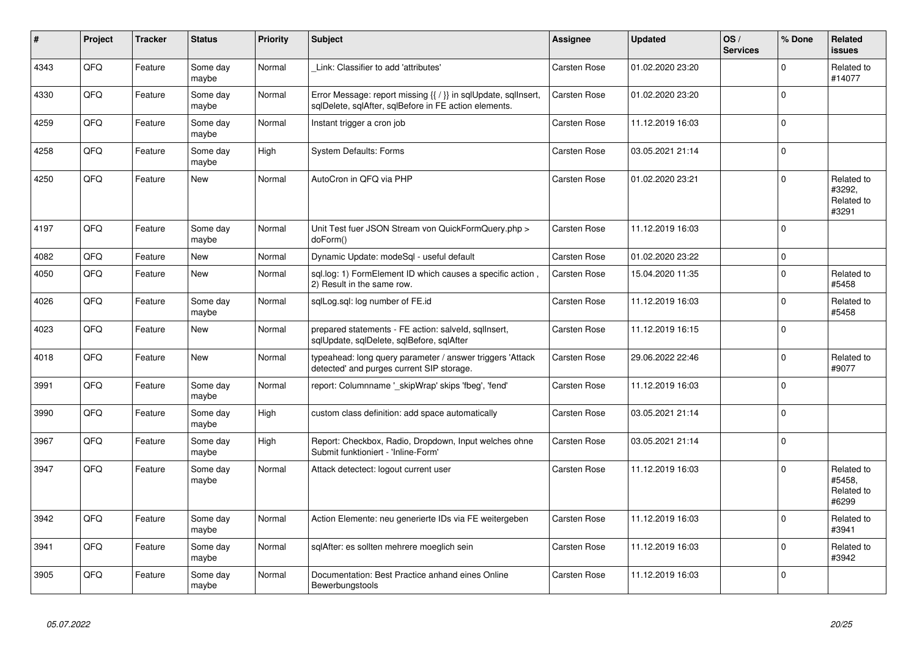| #    | Project | <b>Tracker</b> | <b>Status</b>     | <b>Priority</b> | <b>Subject</b>                                                                                                          | Assignee            | <b>Updated</b>   | OS/<br><b>Services</b> | % Done      | Related<br><b>issues</b>                    |
|------|---------|----------------|-------------------|-----------------|-------------------------------------------------------------------------------------------------------------------------|---------------------|------------------|------------------------|-------------|---------------------------------------------|
| 4343 | QFQ     | Feature        | Some day<br>maybe | Normal          | Link: Classifier to add 'attributes'                                                                                    | Carsten Rose        | 01.02.2020 23:20 |                        | $\Omega$    | Related to<br>#14077                        |
| 4330 | QFQ     | Feature        | Some day<br>maybe | Normal          | Error Message: report missing {{ / }} in sqlUpdate, sqlInsert,<br>sqlDelete, sqlAfter, sqlBefore in FE action elements. | Carsten Rose        | 01.02.2020 23:20 |                        | $\Omega$    |                                             |
| 4259 | QFQ     | Feature        | Some day<br>maybe | Normal          | Instant trigger a cron job                                                                                              | Carsten Rose        | 11.12.2019 16:03 |                        | $\mathbf 0$ |                                             |
| 4258 | QFQ     | Feature        | Some day<br>maybe | High            | <b>System Defaults: Forms</b>                                                                                           | Carsten Rose        | 03.05.2021 21:14 |                        | $\mathbf 0$ |                                             |
| 4250 | QFQ     | Feature        | New               | Normal          | AutoCron in QFQ via PHP                                                                                                 | Carsten Rose        | 01.02.2020 23:21 |                        | $\mathbf 0$ | Related to<br>#3292,<br>Related to<br>#3291 |
| 4197 | QFQ     | Feature        | Some day<br>maybe | Normal          | Unit Test fuer JSON Stream von QuickFormQuery.php ><br>doForm()                                                         | Carsten Rose        | 11.12.2019 16:03 |                        | $\mathbf 0$ |                                             |
| 4082 | QFQ     | Feature        | <b>New</b>        | Normal          | Dynamic Update: modeSql - useful default                                                                                | Carsten Rose        | 01.02.2020 23:22 |                        | $\mathbf 0$ |                                             |
| 4050 | QFQ     | Feature        | <b>New</b>        | Normal          | sgl.log: 1) FormElement ID which causes a specific action,<br>2) Result in the same row.                                | Carsten Rose        | 15.04.2020 11:35 |                        | $\mathbf 0$ | Related to<br>#5458                         |
| 4026 | QFQ     | Feature        | Some day<br>maybe | Normal          | sqlLog.sql: log number of FE.id                                                                                         | Carsten Rose        | 11.12.2019 16:03 |                        | $\mathbf 0$ | Related to<br>#5458                         |
| 4023 | QFQ     | Feature        | <b>New</b>        | Normal          | prepared statements - FE action: salveld, sqllnsert,<br>sqlUpdate, sqlDelete, sqlBefore, sqlAfter                       | Carsten Rose        | 11.12.2019 16:15 |                        | $\Omega$    |                                             |
| 4018 | QFQ     | Feature        | <b>New</b>        | Normal          | typeahead: long query parameter / answer triggers 'Attack<br>detected' and purges current SIP storage.                  | <b>Carsten Rose</b> | 29.06.2022 22:46 |                        | $\Omega$    | Related to<br>#9077                         |
| 3991 | QFQ     | Feature        | Some day<br>maybe | Normal          | report: Columnname '_skipWrap' skips 'fbeg', 'fend'                                                                     | Carsten Rose        | 11.12.2019 16:03 |                        | $\Omega$    |                                             |
| 3990 | QFQ     | Feature        | Some day<br>maybe | High            | custom class definition: add space automatically                                                                        | Carsten Rose        | 03.05.2021 21:14 |                        | $\mathbf 0$ |                                             |
| 3967 | QFQ     | Feature        | Some day<br>maybe | High            | Report: Checkbox, Radio, Dropdown, Input welches ohne<br>Submit funktioniert - 'Inline-Form'                            | Carsten Rose        | 03.05.2021 21:14 |                        | $\mathbf 0$ |                                             |
| 3947 | QFQ     | Feature        | Some day<br>maybe | Normal          | Attack detectect: logout current user                                                                                   | Carsten Rose        | 11.12.2019 16:03 |                        | $\Omega$    | Related to<br>#5458,<br>Related to<br>#6299 |
| 3942 | QFQ     | Feature        | Some day<br>maybe | Normal          | Action Elemente: neu generierte IDs via FE weitergeben                                                                  | <b>Carsten Rose</b> | 11.12.2019 16:03 |                        | $\mathbf 0$ | Related to<br>#3941                         |
| 3941 | QFQ     | Feature        | Some day<br>maybe | Normal          | sglAfter: es sollten mehrere moeglich sein                                                                              | Carsten Rose        | 11.12.2019 16:03 |                        | $\mathbf 0$ | Related to<br>#3942                         |
| 3905 | QFQ     | Feature        | Some day<br>maybe | Normal          | Documentation: Best Practice anhand eines Online<br>Bewerbungstools                                                     | Carsten Rose        | 11.12.2019 16:03 |                        | $\mathbf 0$ |                                             |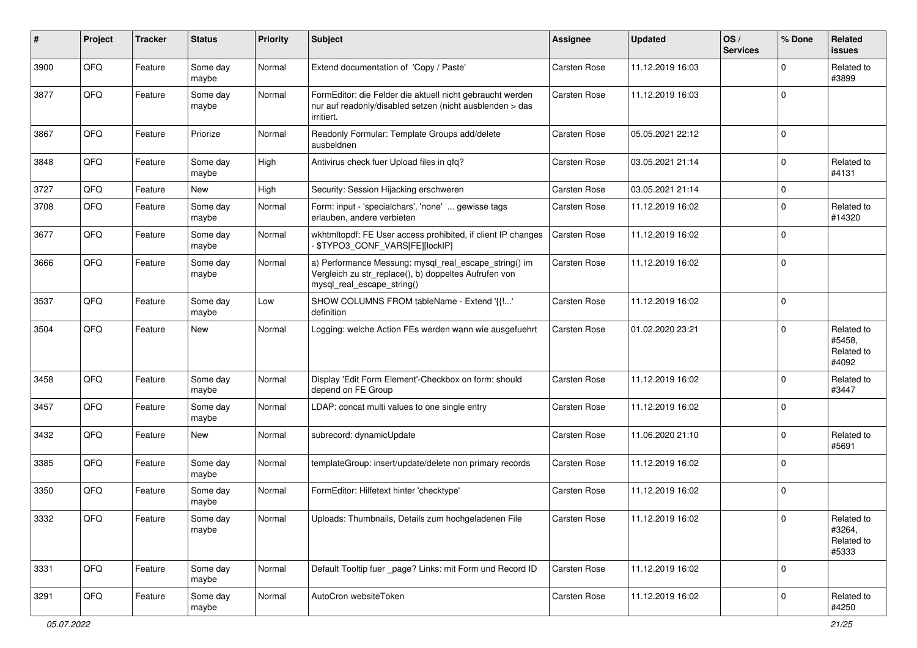| ∦    | Project | <b>Tracker</b> | <b>Status</b>     | <b>Priority</b> | <b>Subject</b>                                                                                                                               | <b>Assignee</b> | <b>Updated</b>   | OS/<br><b>Services</b> | % Done      | Related<br><b>issues</b>                    |
|------|---------|----------------|-------------------|-----------------|----------------------------------------------------------------------------------------------------------------------------------------------|-----------------|------------------|------------------------|-------------|---------------------------------------------|
| 3900 | QFQ     | Feature        | Some day<br>maybe | Normal          | Extend documentation of 'Copy / Paste'                                                                                                       | Carsten Rose    | 11.12.2019 16:03 |                        | $\Omega$    | Related to<br>#3899                         |
| 3877 | QFQ     | Feature        | Some day<br>maybe | Normal          | FormEditor: die Felder die aktuell nicht gebraucht werden<br>nur auf readonly/disabled setzen (nicht ausblenden > das<br>irritiert.          | Carsten Rose    | 11.12.2019 16:03 |                        | $\mathbf 0$ |                                             |
| 3867 | QFQ     | Feature        | Priorize          | Normal          | Readonly Formular: Template Groups add/delete<br>ausbeldnen                                                                                  | Carsten Rose    | 05.05.2021 22:12 |                        | $\mathbf 0$ |                                             |
| 3848 | QFQ     | Feature        | Some day<br>maybe | High            | Antivirus check fuer Upload files in qfq?                                                                                                    | Carsten Rose    | 03.05.2021 21:14 |                        | 0           | Related to<br>#4131                         |
| 3727 | QFQ     | Feature        | New               | High            | Security: Session Hijacking erschweren                                                                                                       | Carsten Rose    | 03.05.2021 21:14 |                        | 0           |                                             |
| 3708 | QFQ     | Feature        | Some day<br>maybe | Normal          | Form: input - 'specialchars', 'none'  gewisse tags<br>erlauben, andere verbieten                                                             | Carsten Rose    | 11.12.2019 16:02 |                        | $\Omega$    | Related to<br>#14320                        |
| 3677 | QFQ     | Feature        | Some day<br>maybe | Normal          | wkhtmltopdf: FE User access prohibited, if client IP changes<br>\$TYPO3_CONF_VARS[FE][lockIP]                                                | Carsten Rose    | 11.12.2019 16:02 |                        | $\Omega$    |                                             |
| 3666 | QFQ     | Feature        | Some day<br>maybe | Normal          | a) Performance Messung: mysql_real_escape_string() im<br>Vergleich zu str_replace(), b) doppeltes Aufrufen von<br>mysql_real_escape_string() | Carsten Rose    | 11.12.2019 16:02 |                        | $\mathbf 0$ |                                             |
| 3537 | QFQ     | Feature        | Some day<br>maybe | Low             | SHOW COLUMNS FROM tableName - Extend '{{!'<br>definition                                                                                     | Carsten Rose    | 11.12.2019 16:02 |                        | $\Omega$    |                                             |
| 3504 | QFQ     | Feature        | New               | Normal          | Logging: welche Action FEs werden wann wie ausgefuehrt                                                                                       | Carsten Rose    | 01.02.2020 23:21 |                        | $\Omega$    | Related to<br>#5458.<br>Related to<br>#4092 |
| 3458 | QFQ     | Feature        | Some day<br>maybe | Normal          | Display 'Edit Form Element'-Checkbox on form: should<br>depend on FE Group                                                                   | Carsten Rose    | 11.12.2019 16:02 |                        | 0           | Related to<br>#3447                         |
| 3457 | QFQ     | Feature        | Some day<br>maybe | Normal          | LDAP: concat multi values to one single entry                                                                                                | Carsten Rose    | 11.12.2019 16:02 |                        | $\Omega$    |                                             |
| 3432 | QFQ     | Feature        | New               | Normal          | subrecord: dynamicUpdate                                                                                                                     | Carsten Rose    | 11.06.2020 21:10 |                        | $\Omega$    | Related to<br>#5691                         |
| 3385 | QFQ     | Feature        | Some day<br>maybe | Normal          | templateGroup: insert/update/delete non primary records                                                                                      | Carsten Rose    | 11.12.2019 16:02 |                        | $\Omega$    |                                             |
| 3350 | QFQ     | Feature        | Some day<br>maybe | Normal          | FormEditor: Hilfetext hinter 'checktype'                                                                                                     | Carsten Rose    | 11.12.2019 16:02 |                        | $\Omega$    |                                             |
| 3332 | QFQ     | Feature        | Some day<br>maybe | Normal          | Uploads: Thumbnails, Details zum hochgeladenen File                                                                                          | Carsten Rose    | 11.12.2019 16:02 |                        | $\mathbf 0$ | Related to<br>#3264,<br>Related to<br>#5333 |
| 3331 | QFQ     | Feature        | Some day<br>maybe | Normal          | Default Tooltip fuer page? Links: mit Form und Record ID                                                                                     | Carsten Rose    | 11.12.2019 16:02 |                        | $\mathbf 0$ |                                             |
| 3291 | QFQ     | Feature        | Some day<br>maybe | Normal          | AutoCron websiteToken                                                                                                                        | Carsten Rose    | 11.12.2019 16:02 |                        | $\mathbf 0$ | Related to<br>#4250                         |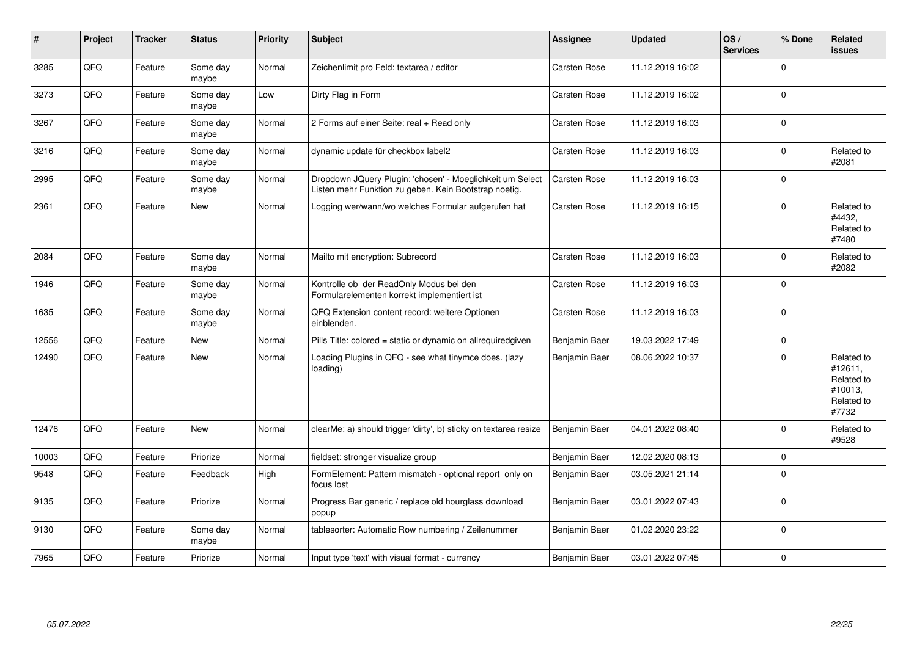| ∦     | Project | <b>Tracker</b> | <b>Status</b>     | <b>Priority</b> | <b>Subject</b>                                                                                                     | <b>Assignee</b> | <b>Updated</b>   | OS/<br><b>Services</b> | % Done      | <b>Related</b><br><b>issues</b>                                       |
|-------|---------|----------------|-------------------|-----------------|--------------------------------------------------------------------------------------------------------------------|-----------------|------------------|------------------------|-------------|-----------------------------------------------------------------------|
| 3285  | QFQ     | Feature        | Some day<br>maybe | Normal          | Zeichenlimit pro Feld: textarea / editor                                                                           | Carsten Rose    | 11.12.2019 16:02 |                        | $\Omega$    |                                                                       |
| 3273  | QFQ     | Feature        | Some day<br>maybe | Low             | Dirty Flag in Form                                                                                                 | Carsten Rose    | 11.12.2019 16:02 |                        | $\mathbf 0$ |                                                                       |
| 3267  | QFQ     | Feature        | Some day<br>maybe | Normal          | 2 Forms auf einer Seite: real + Read only                                                                          | Carsten Rose    | 11.12.2019 16:03 |                        | $\mathbf 0$ |                                                                       |
| 3216  | QFQ     | Feature        | Some day<br>maybe | Normal          | dynamic update für checkbox label2                                                                                 | Carsten Rose    | 11.12.2019 16:03 |                        | $\mathbf 0$ | Related to<br>#2081                                                   |
| 2995  | QFQ     | Feature        | Some day<br>maybe | Normal          | Dropdown JQuery Plugin: 'chosen' - Moeglichkeit um Select<br>Listen mehr Funktion zu geben. Kein Bootstrap noetig. | Carsten Rose    | 11.12.2019 16:03 |                        | $\mathbf 0$ |                                                                       |
| 2361  | QFQ     | Feature        | New               | Normal          | Logging wer/wann/wo welches Formular aufgerufen hat                                                                | Carsten Rose    | 11.12.2019 16:15 |                        | $\mathsf 0$ | Related to<br>#4432,<br>Related to<br>#7480                           |
| 2084  | QFQ     | Feature        | Some day<br>maybe | Normal          | Mailto mit encryption: Subrecord                                                                                   | Carsten Rose    | 11.12.2019 16:03 |                        | $\mathbf 0$ | Related to<br>#2082                                                   |
| 1946  | QFQ     | Feature        | Some day<br>maybe | Normal          | Kontrolle ob der ReadOnly Modus bei den<br>Formularelementen korrekt implementiert ist                             | Carsten Rose    | 11.12.2019 16:03 |                        | $\mathbf 0$ |                                                                       |
| 1635  | QFQ     | Feature        | Some day<br>maybe | Normal          | QFQ Extension content record: weitere Optionen<br>einblenden.                                                      | Carsten Rose    | 11.12.2019 16:03 |                        | $\mathbf 0$ |                                                                       |
| 12556 | QFQ     | Feature        | New               | Normal          | Pills Title: colored = static or dynamic on allrequiredgiven                                                       | Benjamin Baer   | 19.03.2022 17:49 |                        | $\mathsf 0$ |                                                                       |
| 12490 | QFQ     | Feature        | New               | Normal          | Loading Plugins in QFQ - see what tinymce does. (lazy<br>loading)                                                  | Benjamin Baer   | 08.06.2022 10:37 |                        | $\Omega$    | Related to<br>#12611,<br>Related to<br>#10013,<br>Related to<br>#7732 |
| 12476 | QFQ     | Feature        | <b>New</b>        | Normal          | clearMe: a) should trigger 'dirty', b) sticky on textarea resize                                                   | Benjamin Baer   | 04.01.2022 08:40 |                        | $\mathbf 0$ | Related to<br>#9528                                                   |
| 10003 | QFQ     | Feature        | Priorize          | Normal          | fieldset: stronger visualize group                                                                                 | Benjamin Baer   | 12.02.2020 08:13 |                        | $\mathbf 0$ |                                                                       |
| 9548  | QFQ     | Feature        | Feedback          | High            | FormElement: Pattern mismatch - optional report only on<br>focus lost                                              | Benjamin Baer   | 03.05.2021 21:14 |                        | $\mathsf 0$ |                                                                       |
| 9135  | QFQ     | Feature        | Priorize          | Normal          | Progress Bar generic / replace old hourglass download<br>popup                                                     | Benjamin Baer   | 03.01.2022 07:43 |                        | $\mathsf 0$ |                                                                       |
| 9130  | QFQ     | Feature        | Some day<br>maybe | Normal          | tablesorter: Automatic Row numbering / Zeilenummer                                                                 | Benjamin Baer   | 01.02.2020 23:22 |                        | $\mathsf 0$ |                                                                       |
| 7965  | QFQ     | Feature        | Priorize          | Normal          | Input type 'text' with visual format - currency                                                                    | Benjamin Baer   | 03.01.2022 07:45 |                        | $\mathbf 0$ |                                                                       |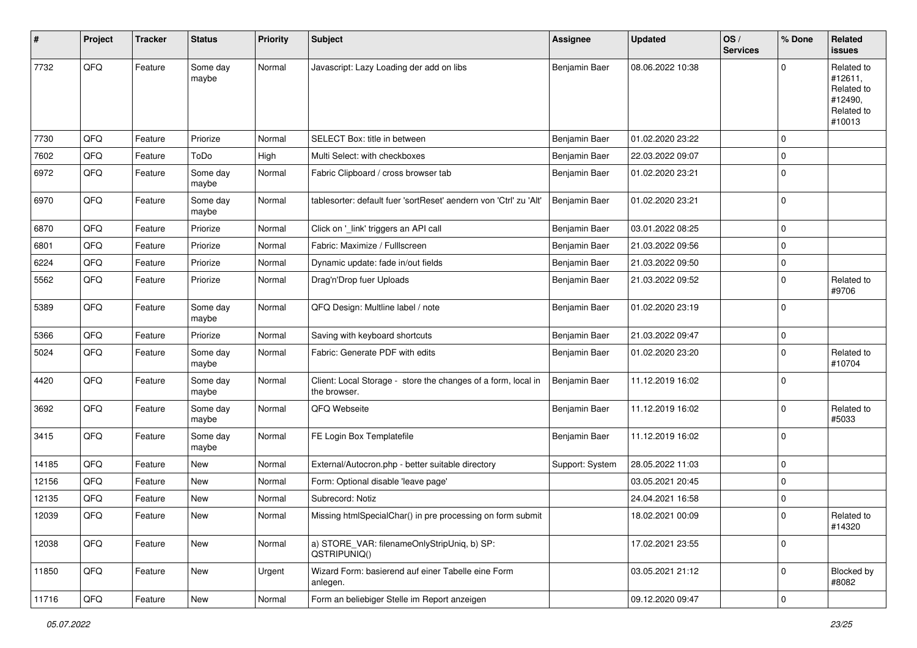| #     | Project | <b>Tracker</b> | <b>Status</b>     | <b>Priority</b> | <b>Subject</b>                                                                | <b>Assignee</b> | <b>Updated</b>   | OS/<br><b>Services</b> | % Done      | Related<br><b>issues</b>                                               |
|-------|---------|----------------|-------------------|-----------------|-------------------------------------------------------------------------------|-----------------|------------------|------------------------|-------------|------------------------------------------------------------------------|
| 7732  | QFQ     | Feature        | Some day<br>maybe | Normal          | Javascript: Lazy Loading der add on libs                                      | Benjamin Baer   | 08.06.2022 10:38 |                        | $\mathbf 0$ | Related to<br>#12611,<br>Related to<br>#12490,<br>Related to<br>#10013 |
| 7730  | QFQ     | Feature        | Priorize          | Normal          | SELECT Box: title in between                                                  | Benjamin Baer   | 01.02.2020 23:22 |                        | $\mathbf 0$ |                                                                        |
| 7602  | QFQ     | Feature        | ToDo              | High            | Multi Select: with checkboxes                                                 | Benjamin Baer   | 22.03.2022 09:07 |                        | $\mathbf 0$ |                                                                        |
| 6972  | QFQ     | Feature        | Some day<br>maybe | Normal          | Fabric Clipboard / cross browser tab                                          | Benjamin Baer   | 01.02.2020 23:21 |                        | $\mathbf 0$ |                                                                        |
| 6970  | QFQ     | Feature        | Some day<br>maybe | Normal          | tablesorter: default fuer 'sortReset' aendern von 'Ctrl' zu 'Alt'             | Benjamin Baer   | 01.02.2020 23:21 |                        | $\mathbf 0$ |                                                                        |
| 6870  | QFQ     | Feature        | Priorize          | Normal          | Click on '_link' triggers an API call                                         | Benjamin Baer   | 03.01.2022 08:25 |                        | $\mathbf 0$ |                                                                        |
| 6801  | QFQ     | Feature        | Priorize          | Normal          | Fabric: Maximize / FullIscreen                                                | Benjamin Baer   | 21.03.2022 09:56 |                        | $\mathbf 0$ |                                                                        |
| 6224  | QFQ     | Feature        | Priorize          | Normal          | Dynamic update: fade in/out fields                                            | Benjamin Baer   | 21.03.2022 09:50 |                        | $\mathbf 0$ |                                                                        |
| 5562  | QFQ     | Feature        | Priorize          | Normal          | Drag'n'Drop fuer Uploads                                                      | Benjamin Baer   | 21.03.2022 09:52 |                        | 0           | Related to<br>#9706                                                    |
| 5389  | QFQ     | Feature        | Some day<br>maybe | Normal          | QFQ Design: Multline label / note                                             | Benjamin Baer   | 01.02.2020 23:19 |                        | $\mathbf 0$ |                                                                        |
| 5366  | QFQ     | Feature        | Priorize          | Normal          | Saving with keyboard shortcuts                                                | Benjamin Baer   | 21.03.2022 09:47 |                        | $\mathbf 0$ |                                                                        |
| 5024  | QFQ     | Feature        | Some day<br>maybe | Normal          | Fabric: Generate PDF with edits                                               | Benjamin Baer   | 01.02.2020 23:20 |                        | $\mathbf 0$ | Related to<br>#10704                                                   |
| 4420  | QFQ     | Feature        | Some day<br>maybe | Normal          | Client: Local Storage - store the changes of a form, local in<br>the browser. | Benjamin Baer   | 11.12.2019 16:02 |                        | $\mathbf 0$ |                                                                        |
| 3692  | QFQ     | Feature        | Some day<br>maybe | Normal          | QFQ Webseite                                                                  | Benjamin Baer   | 11.12.2019 16:02 |                        | $\mathbf 0$ | Related to<br>#5033                                                    |
| 3415  | QFQ     | Feature        | Some day<br>maybe | Normal          | FE Login Box Templatefile                                                     | Benjamin Baer   | 11.12.2019 16:02 |                        | $\mathbf 0$ |                                                                        |
| 14185 | QFQ     | Feature        | New               | Normal          | External/Autocron.php - better suitable directory                             | Support: System | 28.05.2022 11:03 |                        | $\mathbf 0$ |                                                                        |
| 12156 | QFQ     | Feature        | New               | Normal          | Form: Optional disable 'leave page'                                           |                 | 03.05.2021 20:45 |                        | $\mathbf 0$ |                                                                        |
| 12135 | QFQ     | Feature        | <b>New</b>        | Normal          | Subrecord: Notiz                                                              |                 | 24.04.2021 16:58 |                        | 0           |                                                                        |
| 12039 | QFQ     | Feature        | New               | Normal          | Missing htmlSpecialChar() in pre processing on form submit                    |                 | 18.02.2021 00:09 |                        | $\mathsf 0$ | Related to<br>#14320                                                   |
| 12038 | QFQ     | Feature        | New               | Normal          | a) STORE_VAR: filenameOnlyStripUniq, b) SP:<br>QSTRIPUNIQ()                   |                 | 17.02.2021 23:55 |                        | $\mathsf 0$ |                                                                        |
| 11850 | QFQ     | Feature        | New               | Urgent          | Wizard Form: basierend auf einer Tabelle eine Form<br>anlegen.                |                 | 03.05.2021 21:12 |                        | $\mathbf 0$ | Blocked by<br>#8082                                                    |
| 11716 | QFQ     | Feature        | New               | Normal          | Form an beliebiger Stelle im Report anzeigen                                  |                 | 09.12.2020 09:47 |                        | $\mathsf 0$ |                                                                        |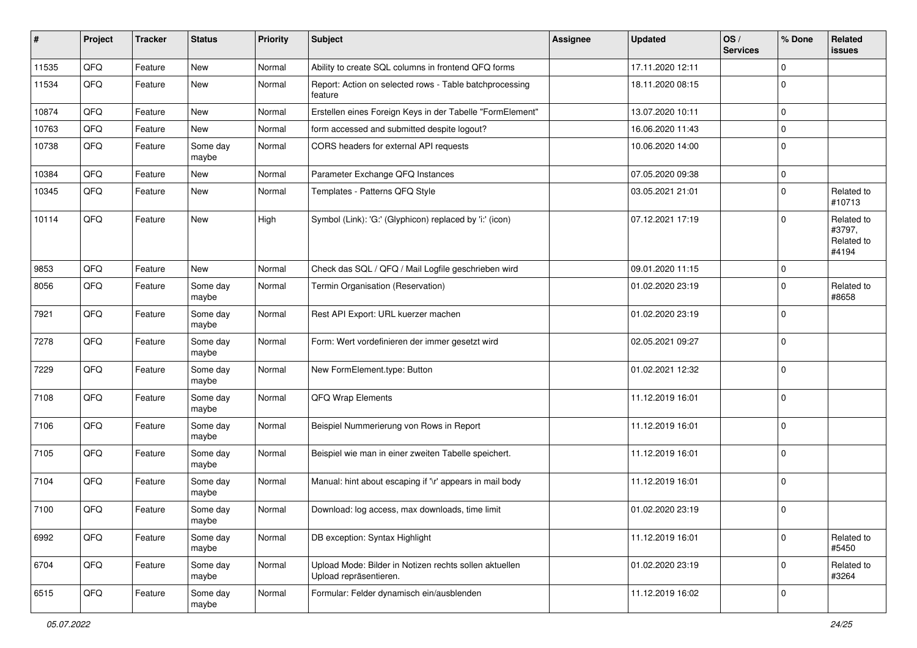| $\sharp$ | Project | <b>Tracker</b> | <b>Status</b>     | <b>Priority</b> | <b>Subject</b>                                                                   | <b>Assignee</b> | <b>Updated</b>   | OS/<br><b>Services</b> | % Done      | Related<br><b>issues</b>                    |
|----------|---------|----------------|-------------------|-----------------|----------------------------------------------------------------------------------|-----------------|------------------|------------------------|-------------|---------------------------------------------|
| 11535    | QFQ     | Feature        | New               | Normal          | Ability to create SQL columns in frontend QFQ forms                              |                 | 17.11.2020 12:11 |                        | $\Omega$    |                                             |
| 11534    | QFQ     | Feature        | <b>New</b>        | Normal          | Report: Action on selected rows - Table batchprocessing<br>feature               |                 | 18.11.2020 08:15 |                        | $\mathbf 0$ |                                             |
| 10874    | QFQ     | Feature        | <b>New</b>        | Normal          | Erstellen eines Foreign Keys in der Tabelle "FormElement"                        |                 | 13.07.2020 10:11 |                        | 0           |                                             |
| 10763    | QFQ     | Feature        | <b>New</b>        | Normal          | form accessed and submitted despite logout?                                      |                 | 16.06.2020 11:43 |                        | 0           |                                             |
| 10738    | QFQ     | Feature        | Some day<br>maybe | Normal          | CORS headers for external API requests                                           |                 | 10.06.2020 14:00 |                        | $\mathbf 0$ |                                             |
| 10384    | QFQ     | Feature        | <b>New</b>        | Normal          | Parameter Exchange QFQ Instances                                                 |                 | 07.05.2020 09:38 |                        | $\mathbf 0$ |                                             |
| 10345    | QFQ     | Feature        | <b>New</b>        | Normal          | Templates - Patterns QFQ Style                                                   |                 | 03.05.2021 21:01 |                        | 0           | Related to<br>#10713                        |
| 10114    | QFQ     | Feature        | <b>New</b>        | High            | Symbol (Link): 'G:' (Glyphicon) replaced by 'i:' (icon)                          |                 | 07.12.2021 17:19 |                        | $\mathbf 0$ | Related to<br>#3797,<br>Related to<br>#4194 |
| 9853     | QFQ     | Feature        | <b>New</b>        | Normal          | Check das SQL / QFQ / Mail Logfile geschrieben wird                              |                 | 09.01.2020 11:15 |                        | 0           |                                             |
| 8056     | QFQ     | Feature        | Some day<br>maybe | Normal          | Termin Organisation (Reservation)                                                |                 | 01.02.2020 23:19 |                        | 0           | Related to<br>#8658                         |
| 7921     | QFQ     | Feature        | Some day<br>maybe | Normal          | Rest API Export: URL kuerzer machen                                              |                 | 01.02.2020 23:19 |                        | $\mathbf 0$ |                                             |
| 7278     | QFQ     | Feature        | Some day<br>maybe | Normal          | Form: Wert vordefinieren der immer gesetzt wird                                  |                 | 02.05.2021 09:27 |                        | $\mathbf 0$ |                                             |
| 7229     | QFQ     | Feature        | Some day<br>maybe | Normal          | New FormElement.type: Button                                                     |                 | 01.02.2021 12:32 |                        | $\mathbf 0$ |                                             |
| 7108     | QFQ     | Feature        | Some day<br>maybe | Normal          | QFQ Wrap Elements                                                                |                 | 11.12.2019 16:01 |                        | $\Omega$    |                                             |
| 7106     | QFQ     | Feature        | Some day<br>maybe | Normal          | Beispiel Nummerierung von Rows in Report                                         |                 | 11.12.2019 16:01 |                        | $\Omega$    |                                             |
| 7105     | QFQ     | Feature        | Some day<br>maybe | Normal          | Beispiel wie man in einer zweiten Tabelle speichert.                             |                 | 11.12.2019 16:01 |                        | $\mathbf 0$ |                                             |
| 7104     | QFQ     | Feature        | Some day<br>maybe | Normal          | Manual: hint about escaping if '\r' appears in mail body                         |                 | 11.12.2019 16:01 |                        | $\Omega$    |                                             |
| 7100     | QFQ     | Feature        | Some day<br>maybe | Normal          | Download: log access, max downloads, time limit                                  |                 | 01.02.2020 23:19 |                        | $\mathbf 0$ |                                             |
| 6992     | QFQ     | Feature        | Some day<br>maybe | Normal          | DB exception: Syntax Highlight                                                   |                 | 11.12.2019 16:01 |                        | $\mathbf 0$ | Related to<br>#5450                         |
| 6704     | QFQ     | Feature        | Some day<br>maybe | Normal          | Upload Mode: Bilder in Notizen rechts sollen aktuellen<br>Upload repräsentieren. |                 | 01.02.2020 23:19 |                        | $\Omega$    | Related to<br>#3264                         |
| 6515     | QFQ     | Feature        | Some day<br>maybe | Normal          | Formular: Felder dynamisch ein/ausblenden                                        |                 | 11.12.2019 16:02 |                        | $\mathbf 0$ |                                             |